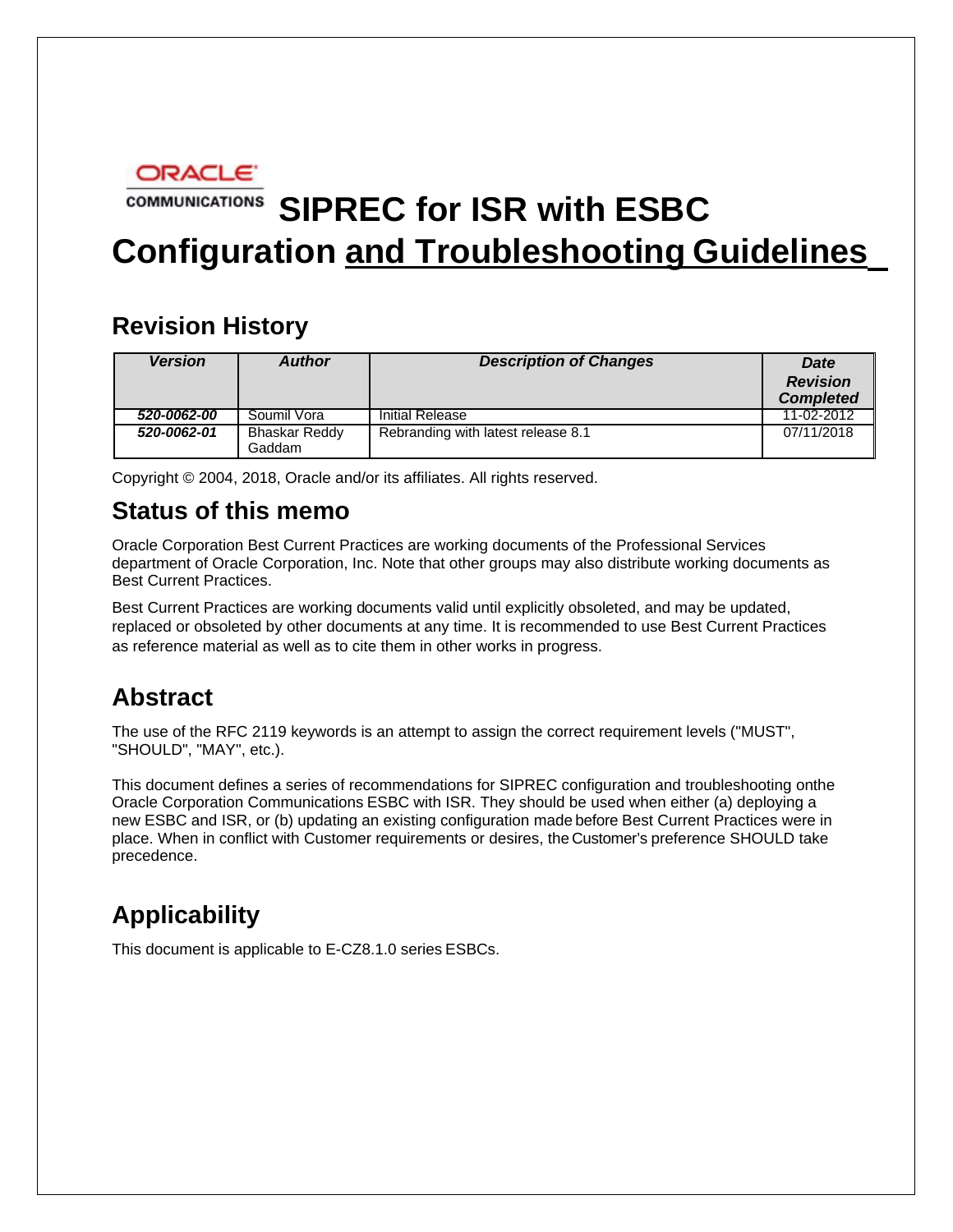

# **COMMUNICATIONS** SIPREC for ISR with ESBC **Configuration and Troubleshooting Guidelines**

# **Revision History**

| <b>Version</b> | <b>Author</b>                  | <b>Description of Changes</b>      | <b>Date</b><br><b>Revision</b><br><b>Completed</b> |
|----------------|--------------------------------|------------------------------------|----------------------------------------------------|
| 520-0062-00    | Soumil Vora                    | Initial Release                    | 11-02-2012                                         |
| 520-0062-01    | <b>Bhaskar Reddy</b><br>Gaddam | Rebranding with latest release 8.1 | 07/11/2018                                         |

Copyright © 2004, 2018, Oracle and/or its affiliates. All rights reserved.

# **Status of this memo**

Oracle Corporation Best Current Practices are working documents of the Professional Services department of Oracle Corporation, Inc. Note that other groups may also distribute working documents as Best Current Practices.

Best Current Practices are working documents valid until explicitly obsoleted, and may be updated, replaced or obsoleted by other documents at any time. It is recommended to use Best Current Practices as reference material as well as to cite them in other works in progress.

# **Abstract**

The use of the RFC 2119 keywords is an attempt to assign the correct requirement levels ("MUST", "SHOULD", "MAY", etc.).

This document defines a series of recommendations for SIPREC configuration and troubleshooting onthe Oracle Corporation Communications ESBC with ISR. They should be used when either (a) deploying a new ESBC and ISR, or (b) updating an existing configuration made before Best Current Practices were in place. When in conflict with Customer requirements or desires, the Customer's preference SHOULD take precedence.

# **Applicability**

This document is applicable to E-CZ8.1.0 series ESBCs.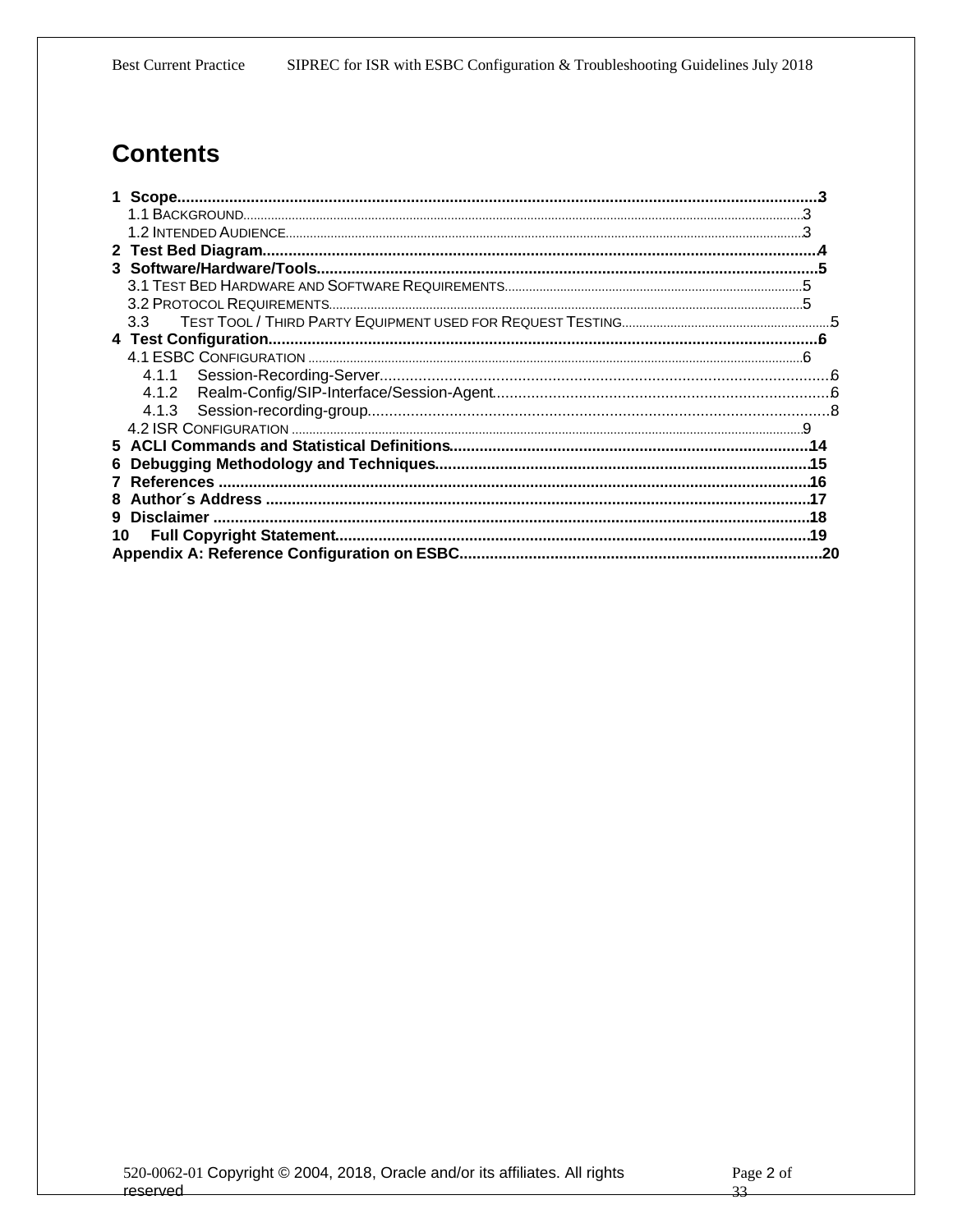# **Contents**

| $3.3 -$ |  |
|---------|--|
|         |  |
|         |  |
|         |  |
| 4.1.2   |  |
| 4.1.3   |  |
|         |  |
|         |  |
| 6.      |  |
|         |  |
|         |  |
|         |  |
| 10      |  |
|         |  |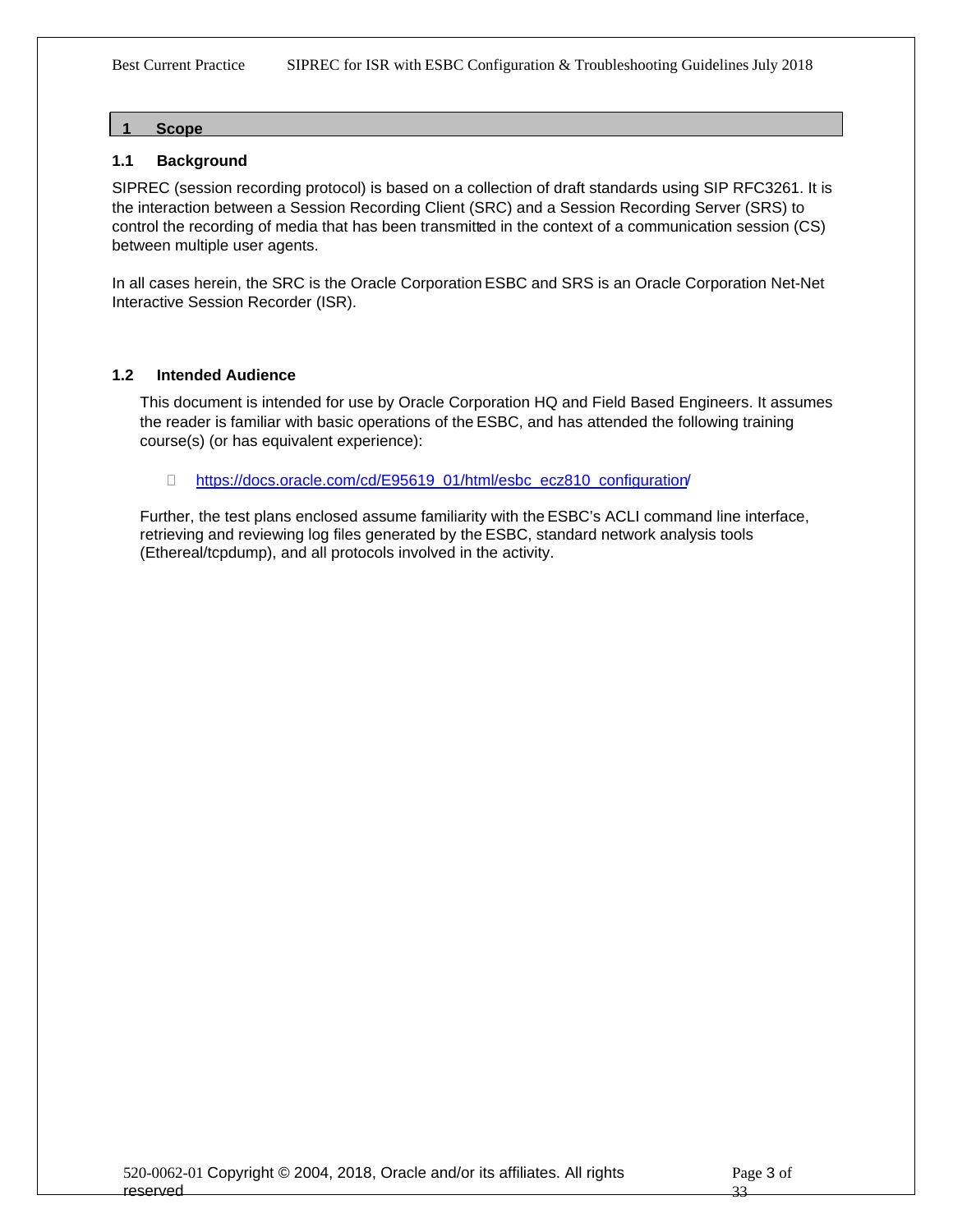#### <span id="page-2-0"></span>**1 Scope**

#### <span id="page-2-1"></span>**1.1 Background**

SIPREC (session recording protocol) is based on a collection of draft standards using SIP RFC3261. It is the interaction between a Session Recording Client (SRC) and a Session Recording Server (SRS) to control the recording of media that has been transmitted in the context of a communication session (CS) between multiple user agents.

In all cases herein, the SRC is the Oracle Corporation ESBC and SRS is an Oracle Corporation Net-Net Interactive Session Recorder (ISR).

#### **1.2 Intended Audience**

<span id="page-2-2"></span>This document is intended for use by Oracle Corporation HQ and Field Based Engineers. It assumes the reader is familiar with basic operations of the ESBC, and has attended the following training course(s) (or has equivalent experience):

□ [https://docs.oracle.com/cd/E95619\\_01/html/esbc\\_ecz810\\_configuration](https://docs.oracle.com/cd/E95619_01/html/esbc_ecz810_configuration/)/

Further, the test plans enclosed assume familiarity with the ESBC's ACLI command line interface, retrieving and reviewing log files generated by the ESBC, standard network analysis tools (Ethereal/tcpdump), and all protocols involved in the activity.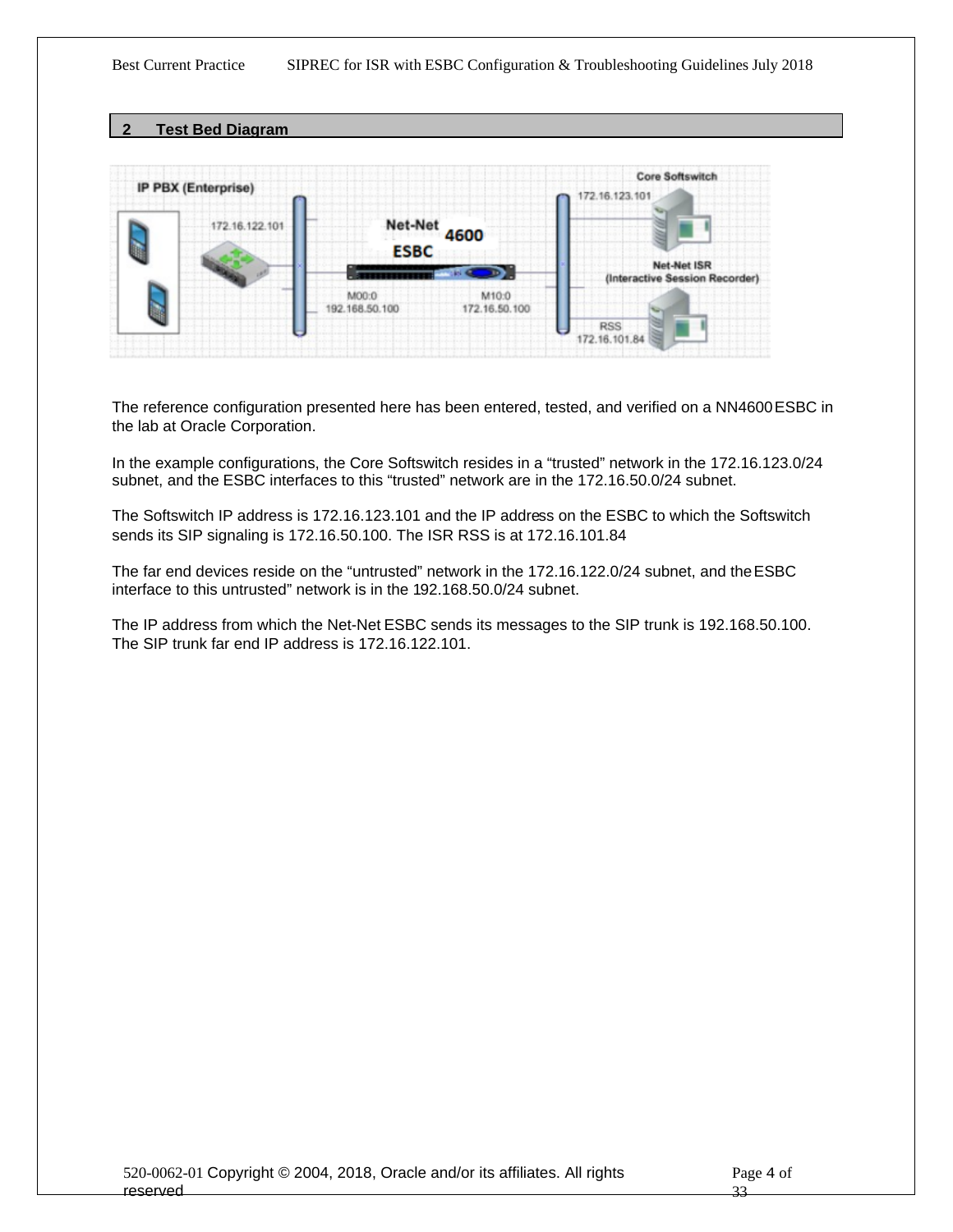<span id="page-3-0"></span>**2 Test Bed Diagram**



The reference configuration presented here has been entered, tested, and verified on a NN4600 ESBC in the lab at Oracle Corporation.

In the example configurations, the Core Softswitch resides in a "trusted" network in the 172.16.123.0/24 subnet, and the ESBC interfaces to this "trusted" network are in the 172.16.50.0/24 subnet.

The Softswitch IP address is 172.16.123.101 and the IP address on the ESBC to which the Softswitch sends its SIP signaling is 172.16.50.100. The ISR RSS is at 172.16.101.84

The far end devices reside on the "untrusted" network in the 172.16.122.0/24 subnet, and the ESBC interface to this untrusted" network is in the 192.168.50.0/24 subnet.

The IP address from which the Net-Net ESBC sends its messages to the SIP trunk is 192.168.50.100. The SIP trunk far end IP address is 172.16.122.101.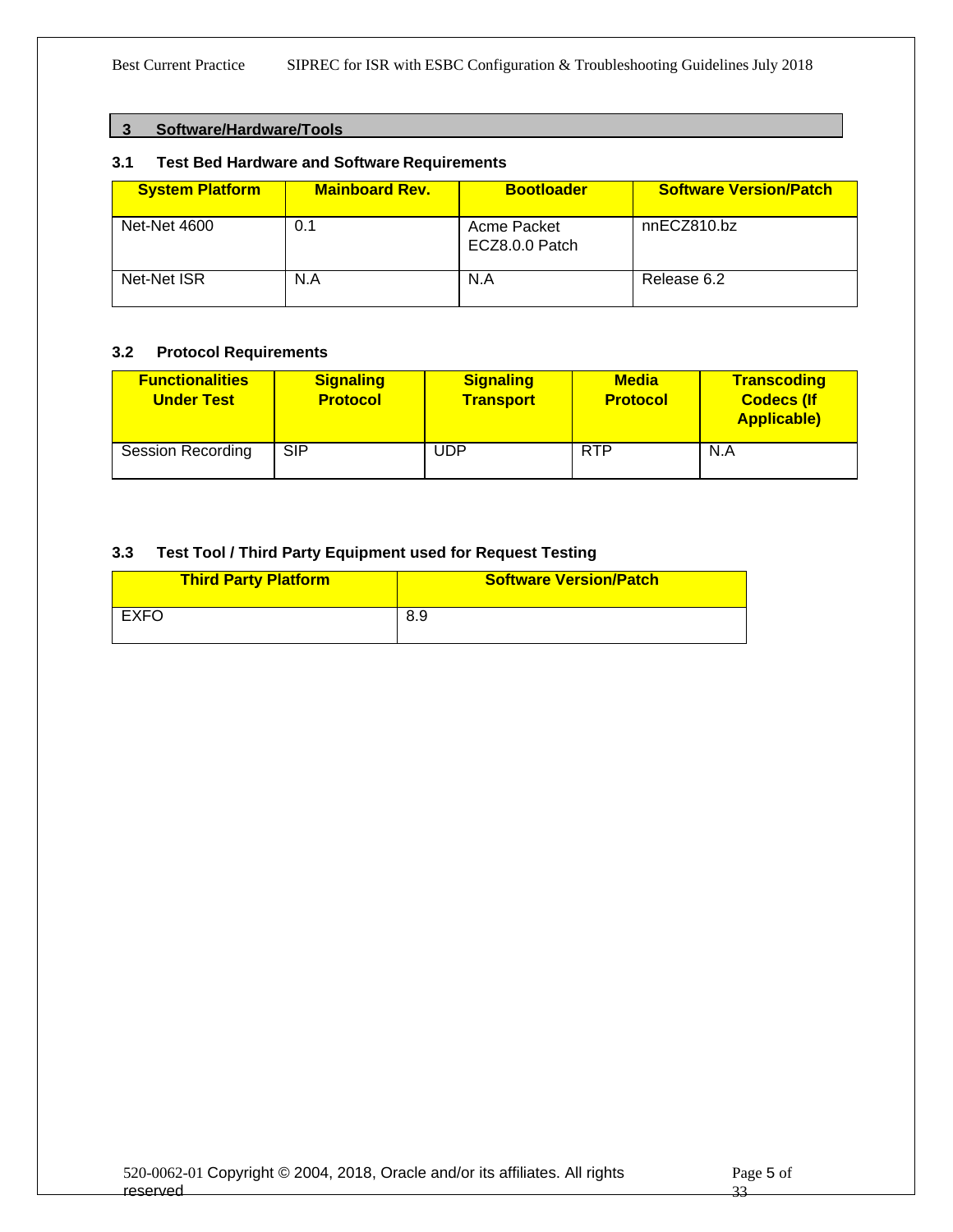#### <span id="page-4-1"></span><span id="page-4-0"></span>**3 Software/Hardware/Tools**

#### **3.1 Test Bed Hardware and Software Requirements**

| <b>System Platform</b> | <b>Mainboard Rev.</b> | <b>Bootloader</b>             | <b>Software Version/Patch</b> |
|------------------------|-----------------------|-------------------------------|-------------------------------|
| <b>Net-Net 4600</b>    | 0.1                   | Acme Packet<br>ECZ8.0.0 Patch | nnECZ810.bz                   |
| Net-Net ISR            | N.A                   | N.A                           | Release 6.2                   |

#### <span id="page-4-2"></span>**3.2 Protocol Requirements**

| <b>Functionalities</b><br><b>Under Test</b> | <b>Signaling</b><br><b>Protocol</b> | <b>Signaling</b><br><b>Transport</b> | <b>Media</b><br><b>Protocol</b> | <b>Transcoding</b><br><b>Codecs (If</b><br><b>Applicable)</b> |
|---------------------------------------------|-------------------------------------|--------------------------------------|---------------------------------|---------------------------------------------------------------|
| <b>Session Recording</b>                    | <b>SIP</b>                          | UDP                                  | <b>RTP</b>                      | N.A                                                           |

### <span id="page-4-3"></span>**3.3 Test Tool / Third Party Equipment used for Request Testing**

| <b>Third Party Platform</b> | <b>Software Version/Patch</b> |
|-----------------------------|-------------------------------|
| EXFO                        | -8.9                          |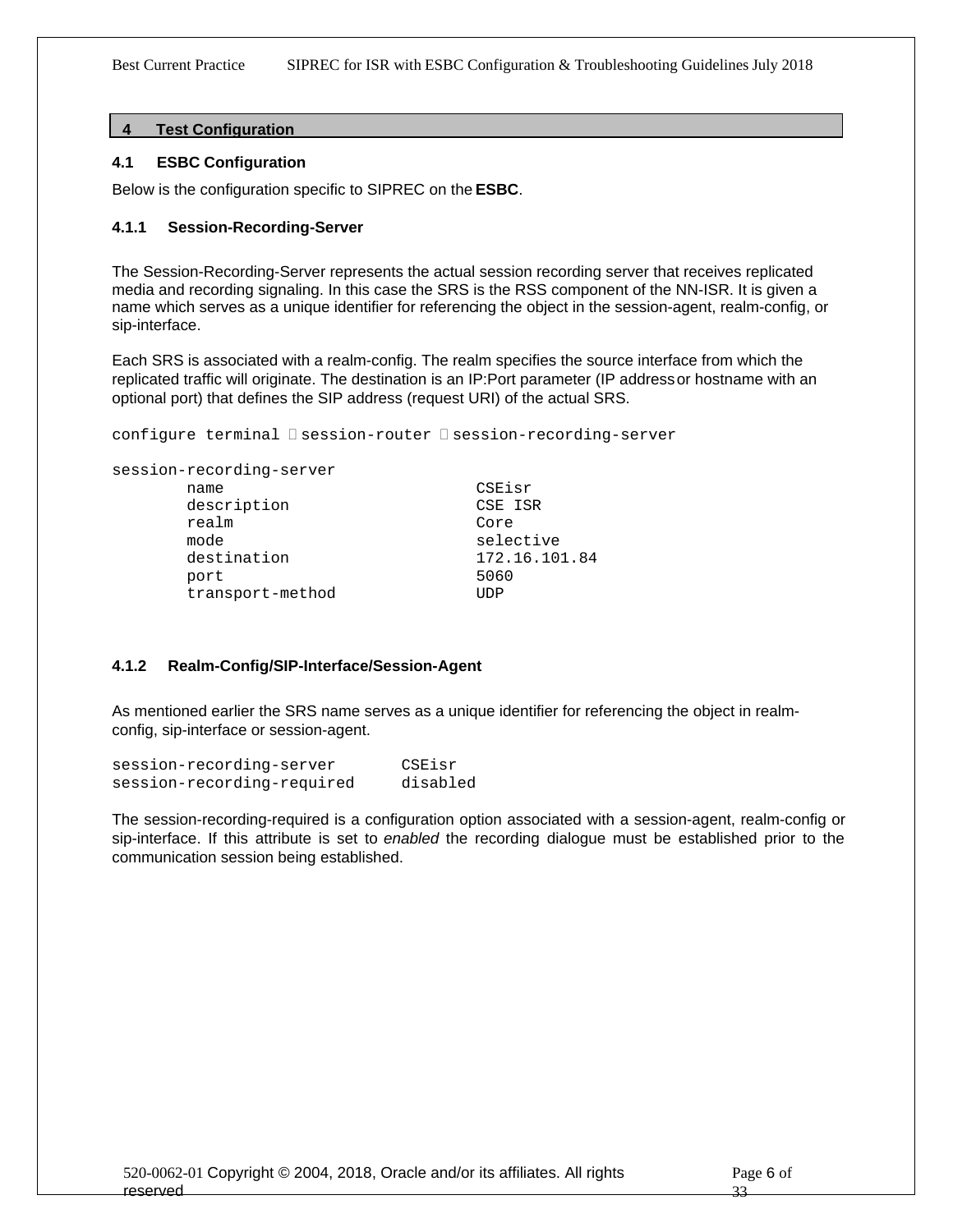#### <span id="page-5-0"></span>**4 Test Configuration**

#### <span id="page-5-1"></span>**4.1 ESBC Configuration**

Below is the configuration specific to SIPREC on the **ESBC**.

#### <span id="page-5-2"></span>**4.1.1 Session-Recording-Server**

The Session-Recording-Server represents the actual session recording server that receives replicated media and recording signaling. In this case the SRS is the RSS component of the NN-ISR. It is given a name which serves as a unique identifier for referencing the object in the session-agent, realm-config, or sip-interface.

Each SRS is associated with a realm-config. The realm specifies the source interface from which the replicated traffic will originate. The destination is an IP:Port parameter (IP address or hostname with an optional port) that defines the SIP address (request URI) of the actual SRS.

configure terminal  $\square$  session-router  $\square$  session-recording-server

```
session-recording-server
```

| name             | CSEisr        |
|------------------|---------------|
| description      | CSE ISR       |
| realm            | Core          |
| mode             | selective     |
| destination      | 172.16.101.84 |
| port             | 5060          |
| transport-method | TIDP          |
|                  |               |

#### <span id="page-5-3"></span>**4.1.2 Realm-Config/SIP-Interface/Session-Agent**

As mentioned earlier the SRS name serves as a unique identifier for referencing the object in realmconfig, sip-interface or session-agent.

| session-recording-server   | CSEisr   |
|----------------------------|----------|
| session-recording-required | disabled |

The session-recording-required is a configuration option associated with a session-agent, realm-config or sip-interface. If this attribute is set to *enabled* the recording dialogue must be established prior to the communication session being established.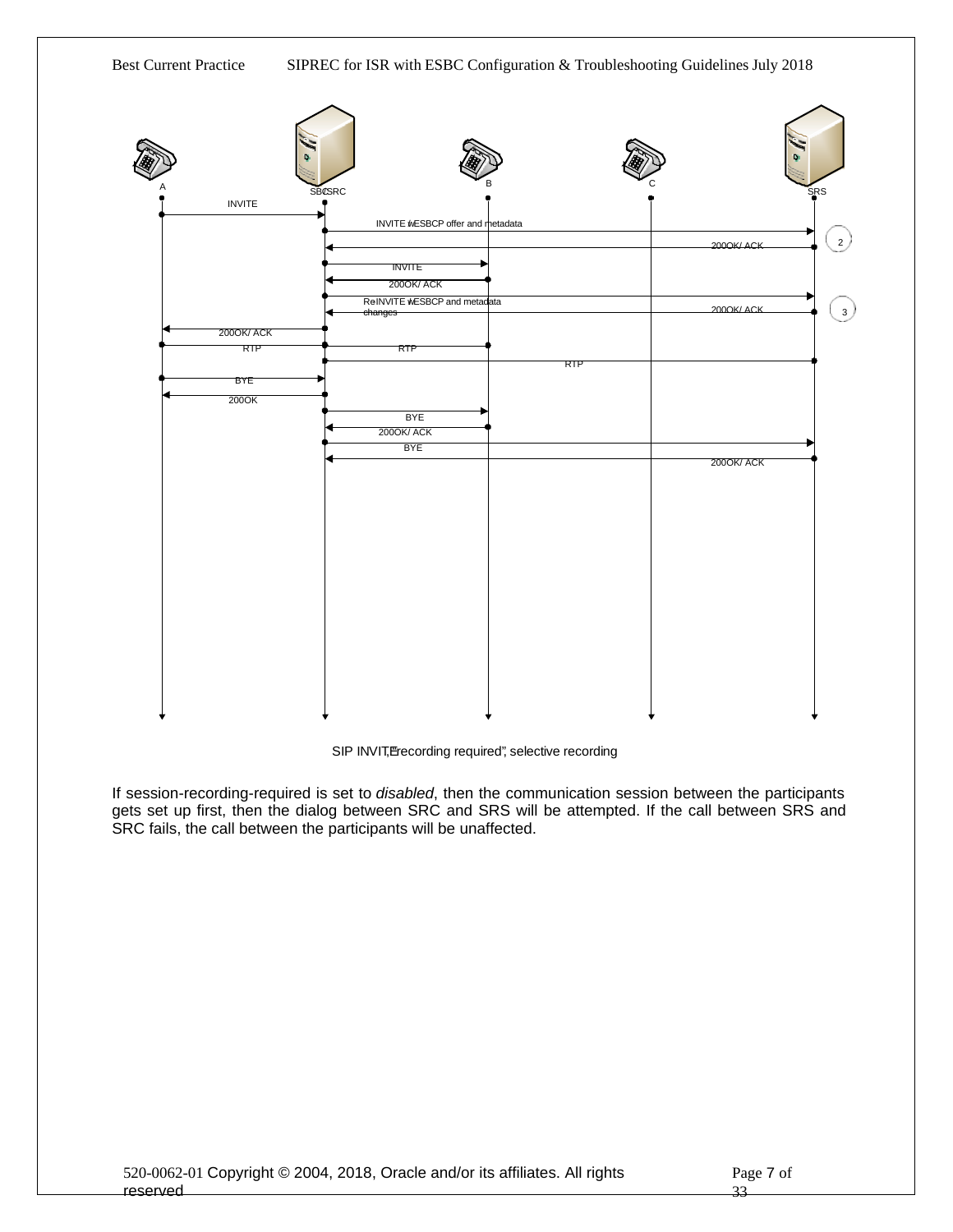

#### SIP INVIT, Erecording required", selective recording

If session-recording-required is set to *disabled*, then the communication session between the participants gets set up first, then the dialog between SRC and SRS will be attempted. If the call between SRS and SRC fails, the call between the participants will be unaffected.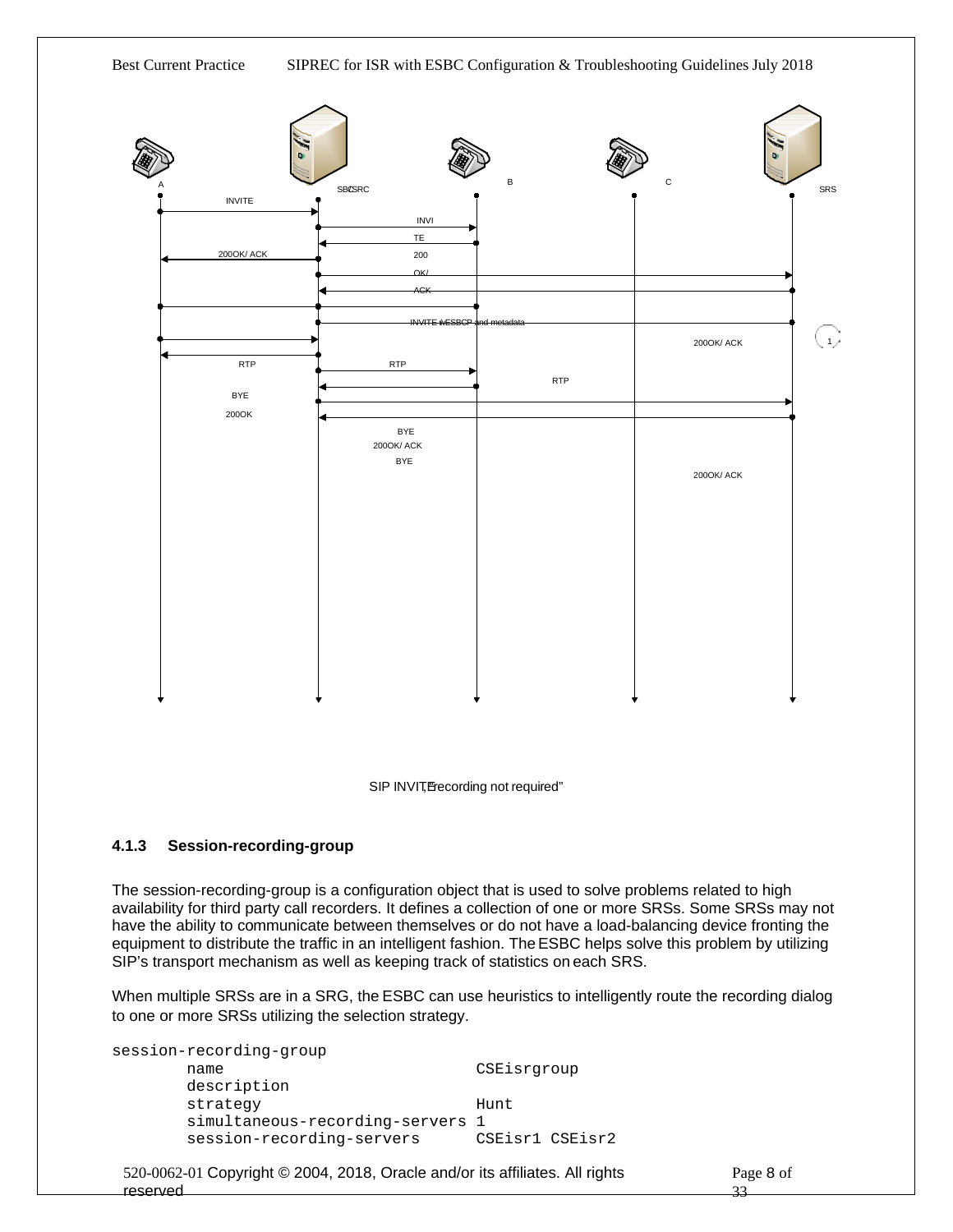Best Current Practice SIPREC for ISR with ESBC Configuration & Troubleshooting Guidelines July 2018



SIP INVIT, Frecording not required"

#### <span id="page-7-0"></span>**4.1.3 Session-recording-group**

The session-recording-group is a configuration object that is used to solve problems related to high availability for third party call recorders. It defines a collection of one or more SRSs. Some SRSs may not have the ability to communicate between themselves or do not have a load-balancing device fronting the equipment to distribute the traffic in an intelligent fashion. The ESBC helps solve this problem by utilizing SIP's transport mechanism as well as keeping track of statistics on each SRS.

When multiple SRSs are in a SRG, the ESBC can use heuristics to intelligently route the recording dialog to one or more SRSs utilizing the selection strategy.

```
session-recording-group
     name CSEisrgroup
     description
     strategy Hunt
     simultaneous-recording-servers 1
     session-recording-servers
```

```
520-0062-01 Copyright © 2004, 2018, Oracle and/or its affiliates. All rights 
reserved
```
Page 8 of 33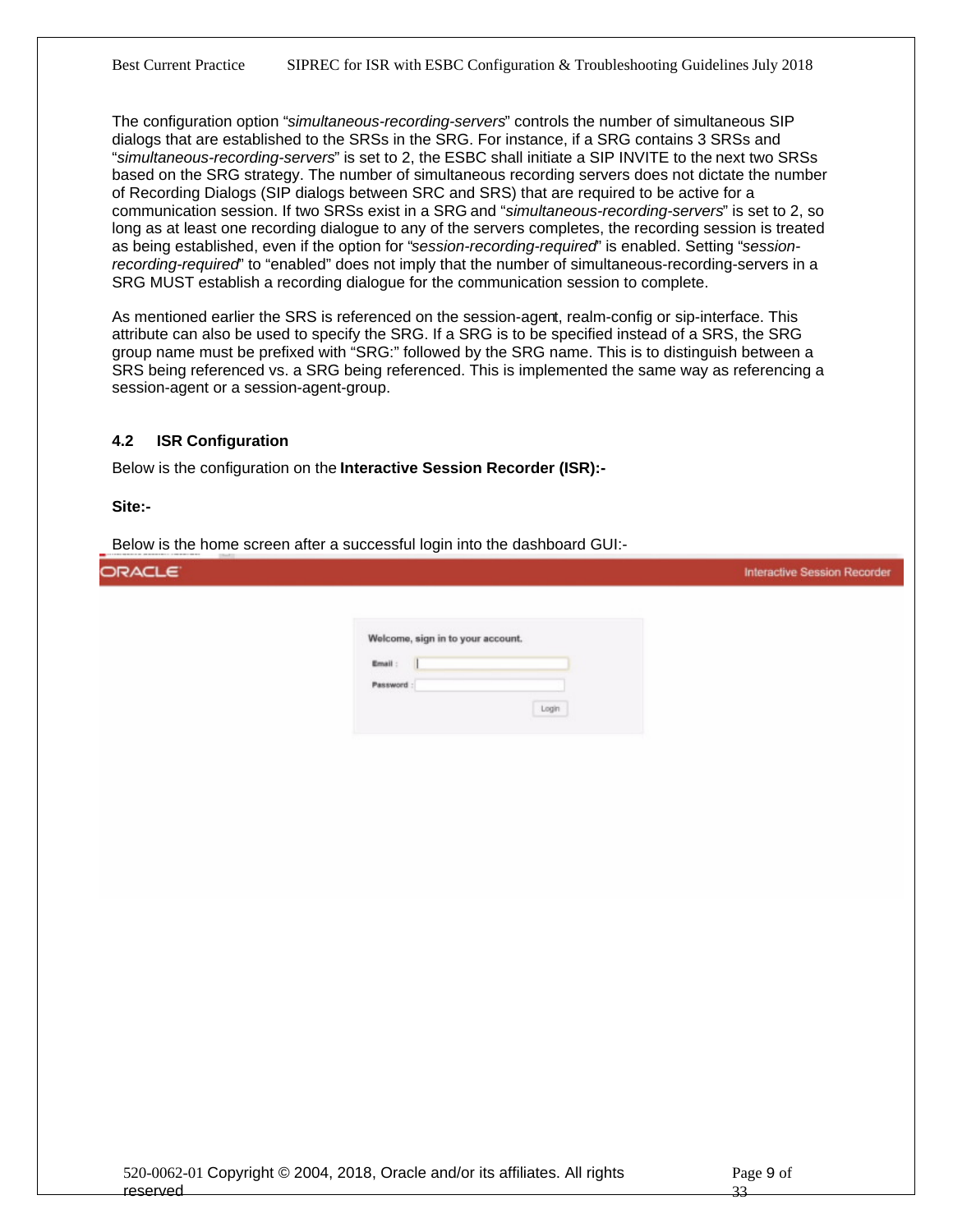The configuration option "*simultaneous-recording-servers*" controls the number of simultaneous SIP dialogs that are established to the SRSs in the SRG. For instance, if a SRG contains 3 SRSs and "*simultaneous-recording-servers*" is set to 2, the ESBC shall initiate a SIP INVITE to the next two SRSs based on the SRG strategy. The number of simultaneous recording servers does not dictate the number of Recording Dialogs (SIP dialogs between SRC and SRS) that are required to be active for a communication session. If two SRSs exist in a SRG and "*simultaneous-recording-servers*" is set to 2, so long as at least one recording dialogue to any of the servers completes, the recording session is treated as being established, even if the option for "*session-recording-required*" is enabled. Setting "*sessionrecording-required*" to "enabled" does not imply that the number of simultaneous-recording-servers in a SRG MUST establish a recording dialogue for the communication session to complete.

As mentioned earlier the SRS is referenced on the session-agent, realm-config or sip-interface. This attribute can also be used to specify the SRG. If a SRG is to be specified instead of a SRS, the SRG group name must be prefixed with "SRG:" followed by the SRG name. This is to distinguish between a SRS being referenced vs. a SRG being referenced. This is implemented the same way as referencing a session-agent or a session-agent-group.

#### <span id="page-8-0"></span>**4.2 ISR Configuration**

Below is the configuration on the **Interactive Session Recorder (ISR):-** 

**Site:-**

Below is the home screen after a successful login into the dashboard GUI:-

| ORACLE <sup>®</sup> |                                                                   | <b>Interactive Session Recorder</b> |
|---------------------|-------------------------------------------------------------------|-------------------------------------|
|                     | Welcome, sign in to your account.<br>Email:<br>Password:<br>Login |                                     |
|                     |                                                                   |                                     |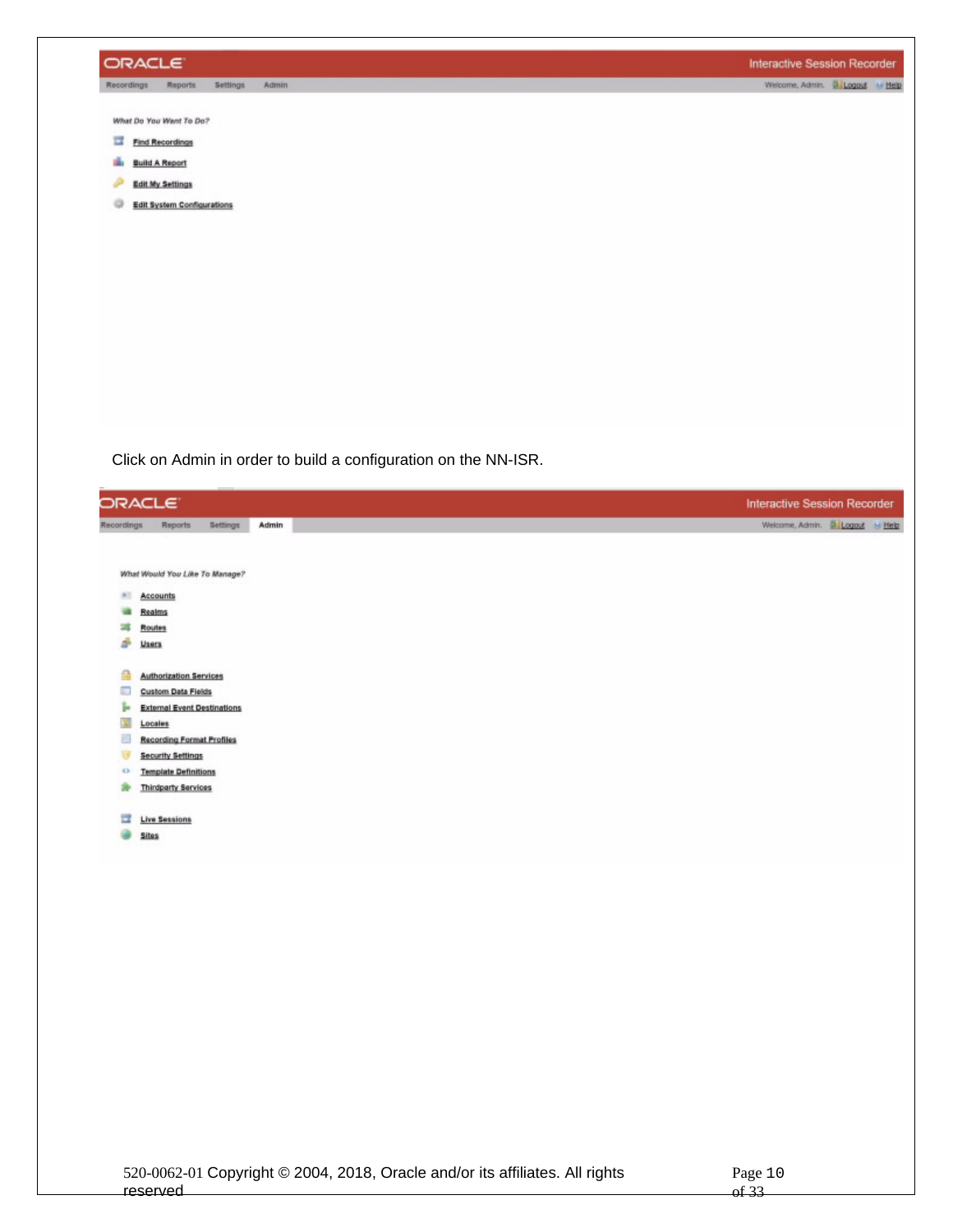

Click on Admin in order to build a configuration on the NN-ISR.

| Admin<br>Settings<br><b>Reports</b><br>Recordings<br>What Would You Like To Manage?<br>31<br>Accounts<br>Realms<br>-<br><b>Routes</b><br>Users<br>s<br>≏<br><b>Authorization Services</b><br>s<br><b>Custom Data Fields</b><br>ь<br><b>External Event Destinations</b><br>Locales<br>89<br><b>Recording Format Profiles</b><br><b>Security Settings</b><br><b>Template Definitions</b><br>÷<br><b>Thirdparty Services</b><br>×<br><b>Live Sessions</b><br>冒 | <b>Sites</b> | ORACLE <sup>®</sup> |  | <b>Interactive Session Recorder</b> |
|-------------------------------------------------------------------------------------------------------------------------------------------------------------------------------------------------------------------------------------------------------------------------------------------------------------------------------------------------------------------------------------------------------------------------------------------------------------|--------------|---------------------|--|-------------------------------------|
|                                                                                                                                                                                                                                                                                                                                                                                                                                                             |              |                     |  | Welcome, Admin. 5. Logaut M Help    |
|                                                                                                                                                                                                                                                                                                                                                                                                                                                             |              |                     |  |                                     |
|                                                                                                                                                                                                                                                                                                                                                                                                                                                             |              |                     |  |                                     |
|                                                                                                                                                                                                                                                                                                                                                                                                                                                             |              |                     |  |                                     |
|                                                                                                                                                                                                                                                                                                                                                                                                                                                             |              |                     |  |                                     |
|                                                                                                                                                                                                                                                                                                                                                                                                                                                             |              |                     |  |                                     |
|                                                                                                                                                                                                                                                                                                                                                                                                                                                             |              |                     |  |                                     |
|                                                                                                                                                                                                                                                                                                                                                                                                                                                             |              |                     |  |                                     |
|                                                                                                                                                                                                                                                                                                                                                                                                                                                             |              |                     |  |                                     |
|                                                                                                                                                                                                                                                                                                                                                                                                                                                             |              |                     |  |                                     |
|                                                                                                                                                                                                                                                                                                                                                                                                                                                             |              |                     |  |                                     |
|                                                                                                                                                                                                                                                                                                                                                                                                                                                             |              |                     |  |                                     |
|                                                                                                                                                                                                                                                                                                                                                                                                                                                             |              |                     |  |                                     |
|                                                                                                                                                                                                                                                                                                                                                                                                                                                             |              |                     |  |                                     |
|                                                                                                                                                                                                                                                                                                                                                                                                                                                             |              |                     |  |                                     |
|                                                                                                                                                                                                                                                                                                                                                                                                                                                             |              |                     |  |                                     |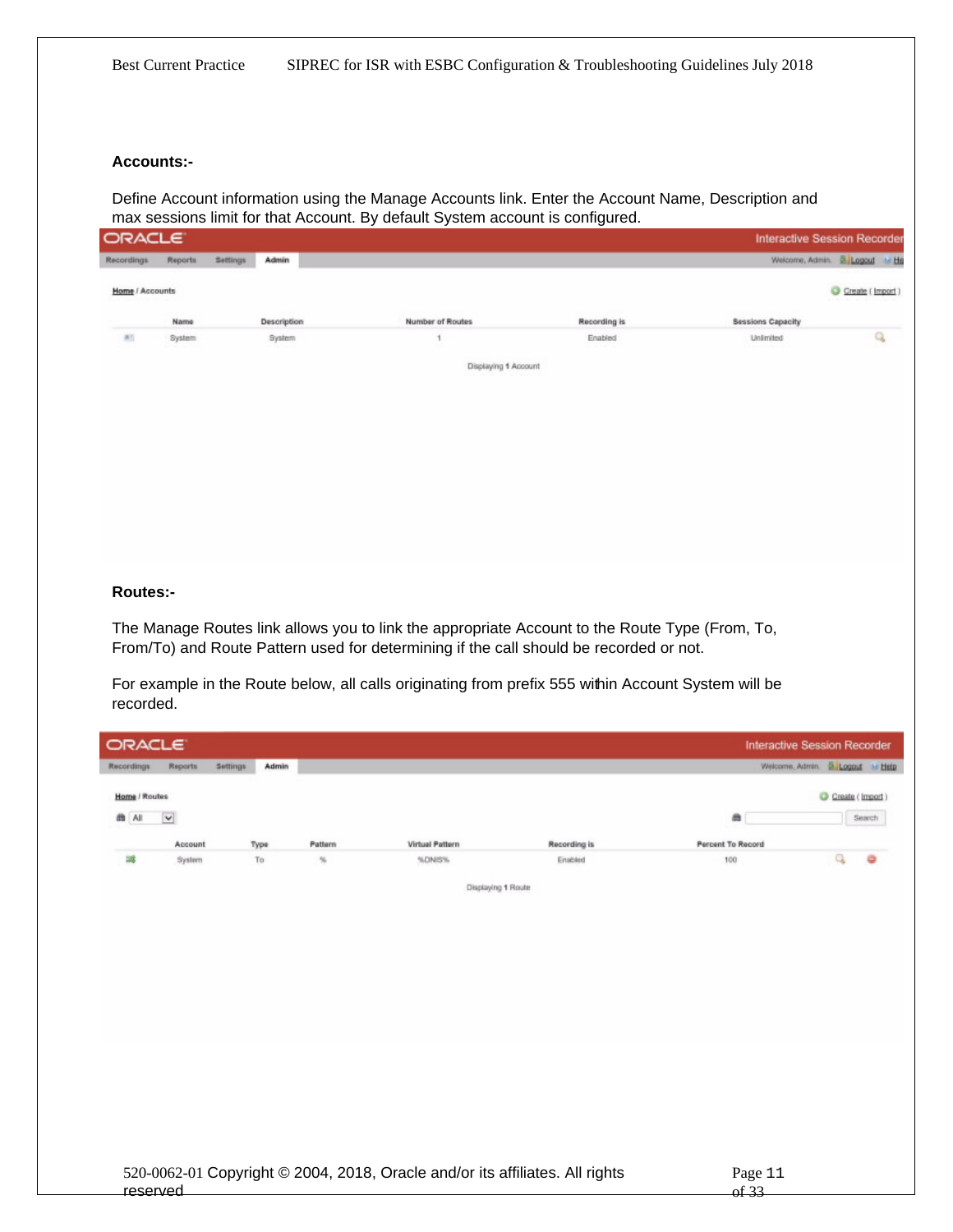#### **Accounts:-**

Define Account information using the Manage Accounts link. Enter the Account Name, Description and max sessions limit for that Account. By default System account is configured.

| ORACLE                                    |         |          |             |                                                  |                        | Interactive Session Recorde     |                                                   |
|-------------------------------------------|---------|----------|-------------|--------------------------------------------------|------------------------|---------------------------------|---------------------------------------------------|
| <b>Recordings</b>                         | Reports | Settings | Admin       |                                                  |                        | Welcome, Admin. E Logoul M H    |                                                   |
| Home / Accounts<br>없이 무슨 것 같아요. 신사 사람은 어려 |         |          |             |                                                  |                        |                                 | Create (Import)<br>00 000 000 000 000 000 000 000 |
|                                           | Name    |          | Description | Number of Routes                                 | Recording is           | <b>Sessions Capacity</b>        |                                                   |
| B1                                        | System  |          | System<br>. |                                                  | Enabled<br>10-30-12-12 | Unlimited<br>- 10 MAR 1980 1980 | Q                                                 |
|                                           |         |          |             | Displaying 1 Account<br>사업 시간에서 학교 위원 시간에 아이가 있다 |                        |                                 |                                                   |
|                                           |         |          |             |                                                  |                        |                                 |                                                   |
|                                           |         |          |             |                                                  |                        |                                 |                                                   |

#### **Routes:-**

The Manage Routes link allows you to link the appropriate Account to the Route Type (From, To, From/To) and Route Pattern used for determining if the call should be recorded or not.

For example in the Route below, all calls originating from prefix 555 within Account System will be recorded.

| ORACLE <sup>®</sup> |              |                          |         |                                                                              |              |                          | <b>Interactive Session Recorder</b> |                   |
|---------------------|--------------|--------------------------|---------|------------------------------------------------------------------------------|--------------|--------------------------|-------------------------------------|-------------------|
| <b>Recordings</b>   | Reports      | <b>Settings</b><br>Admin |         |                                                                              |              |                          | Welcome, Admin. E Logout M Help     |                   |
| Home / Routes       |              |                          |         |                                                                              |              |                          |                                     | C Create (Import) |
| 曲All                | $\checkmark$ |                          |         |                                                                              |              | 曲                        |                                     | Search            |
|                     | Account      | Type                     | Pattern | <b>Virtual Pattern</b>                                                       | Recording is | <b>Percent To Record</b> |                                     |                   |
| 鴻                   | System       | To                       | %       | %DNIS%                                                                       | Enabled      | 100                      | Q                                   | ۰                 |
|                     |              |                          |         | Displaying 1 Route                                                           |              |                          |                                     |                   |
|                     |              |                          |         |                                                                              |              |                          |                                     |                   |
|                     |              |                          |         |                                                                              |              |                          |                                     |                   |
|                     |              |                          |         |                                                                              |              |                          |                                     |                   |
|                     |              |                          |         |                                                                              |              |                          |                                     |                   |
|                     |              |                          |         |                                                                              |              |                          |                                     |                   |
|                     |              |                          |         |                                                                              |              |                          |                                     |                   |
|                     |              |                          |         |                                                                              |              |                          |                                     |                   |
|                     |              |                          |         |                                                                              |              |                          |                                     |                   |
|                     |              |                          |         |                                                                              |              |                          |                                     |                   |
|                     |              |                          |         |                                                                              |              |                          |                                     |                   |
|                     |              |                          |         |                                                                              |              |                          |                                     |                   |
|                     |              |                          |         |                                                                              |              |                          |                                     |                   |
|                     |              |                          |         | 520-0062-01 Copyright © 2004, 2018, Oracle and/or its affiliates. All rights |              | Page 11                  |                                     |                   |
| reserved            |              |                          |         |                                                                              |              | of 33                    |                                     |                   |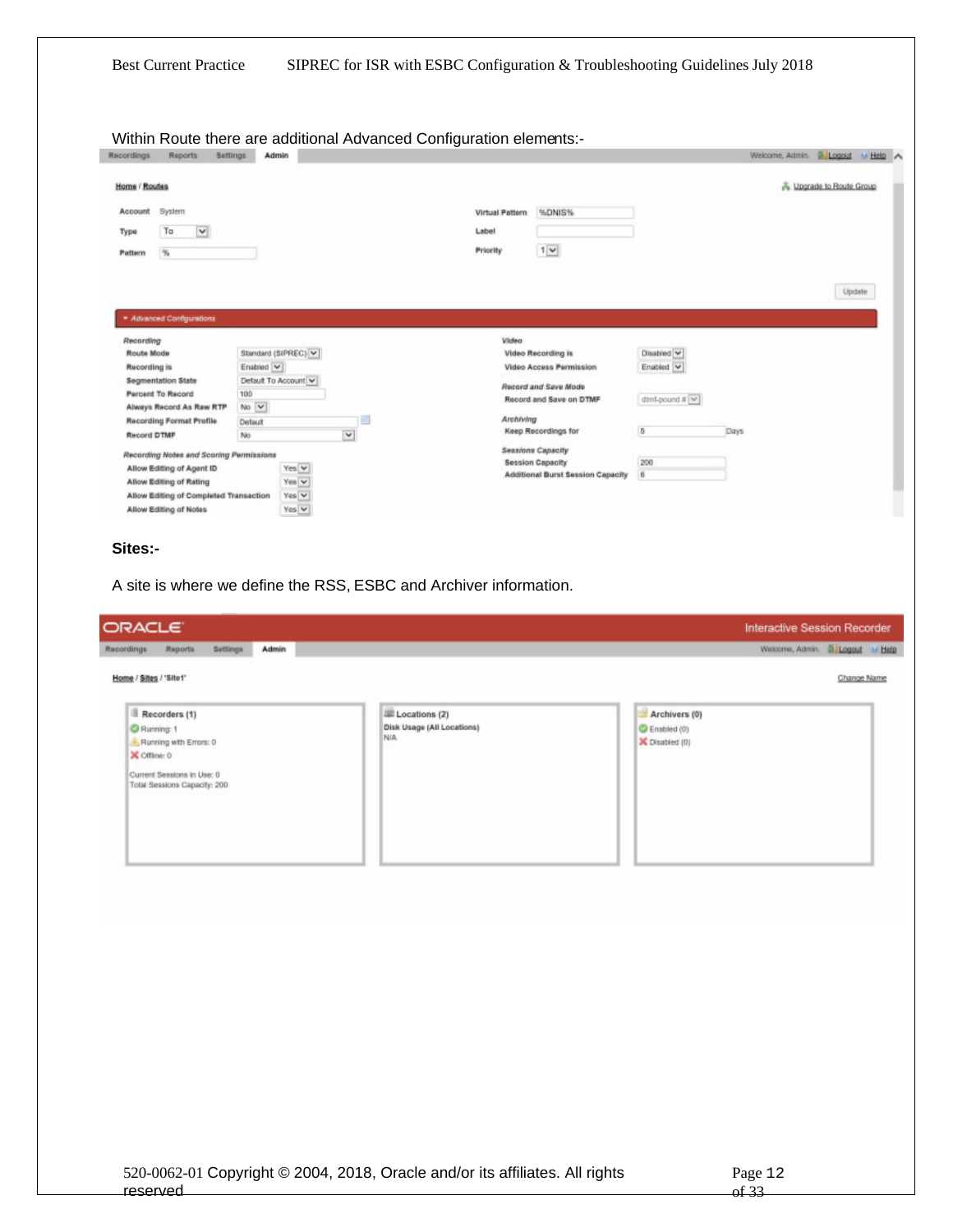| Recordings<br><b>Reports</b><br>Settings                                                                                                                                                                |                                   |                                                                   |                                                       |                         |                                 |
|---------------------------------------------------------------------------------------------------------------------------------------------------------------------------------------------------------|-----------------------------------|-------------------------------------------------------------------|-------------------------------------------------------|-------------------------|---------------------------------|
| Home / Routes                                                                                                                                                                                           |                                   |                                                                   |                                                       |                         | & Upgrade to Route Group        |
| Account<br>System                                                                                                                                                                                       |                                   |                                                                   | %DNIS%<br>Virtual Pattern                             |                         |                                 |
| $\checkmark$<br>To<br>Type                                                                                                                                                                              |                                   |                                                                   | Label                                                 |                         |                                 |
|                                                                                                                                                                                                         |                                   |                                                                   | $1 \times$<br>Priority                                |                         |                                 |
| $\frac{\partial V_1}{\partial \dot{z}}$<br>Pattern                                                                                                                                                      |                                   |                                                                   |                                                       |                         |                                 |
|                                                                                                                                                                                                         |                                   |                                                                   |                                                       |                         | Update                          |
| * Advanced Configurations                                                                                                                                                                               |                                   |                                                                   |                                                       |                         |                                 |
| Recording                                                                                                                                                                                               |                                   |                                                                   | Wideo                                                 |                         |                                 |
| <b>Route Mode</b>                                                                                                                                                                                       | Standard (SIPREC) V               |                                                                   | Video Recording is<br>Video Access Permission         | Disabled V              |                                 |
| Recording is<br>Segmentation State                                                                                                                                                                      | Enabled V<br>Default To Account V |                                                                   |                                                       | Enabled V               |                                 |
| Percent To Record                                                                                                                                                                                       | 100                               |                                                                   | Record and Save Mode                                  |                         |                                 |
| Always Record As Raw RTP                                                                                                                                                                                | No V                              |                                                                   | Record and Save on DTMF                               | $d$ thit-pound # $\vee$ |                                 |
| <b>Recording Format Profile</b>                                                                                                                                                                         | Default                           | 116                                                               | Archiving                                             |                         |                                 |
| Record DTMF                                                                                                                                                                                             | No                                | $\checkmark$                                                      | Keep Recordings for                                   | 5                       | Days                            |
| Recording Notes and Scoring Permissions                                                                                                                                                                 |                                   |                                                                   | Sessions Capacity                                     |                         |                                 |
| Allow Editing of Agent ID                                                                                                                                                                               | Yes V                             |                                                                   | Session Capacity<br>Additional Burst Session Capacity | 200<br>6                |                                 |
| Allow Editing of Rating                                                                                                                                                                                 | Yes V                             |                                                                   |                                                       |                         |                                 |
| Allow Editing of Completed Transaction<br>Allow Editing of Notes                                                                                                                                        | Yes V<br>Yes $\vee$               |                                                                   |                                                       |                         |                                 |
|                                                                                                                                                                                                         |                                   | A site is where we define the RSS, ESBC and Archiver information. |                                                       |                         |                                 |
|                                                                                                                                                                                                         |                                   |                                                                   |                                                       |                         | Interactive Session Recorder    |
| Settings<br>Reports                                                                                                                                                                                     | Admin                             |                                                                   |                                                       |                         | Welcome, Admin. B Logout M Help |
|                                                                                                                                                                                                         |                                   |                                                                   |                                                       |                         | Change Name                     |
|                                                                                                                                                                                                         |                                   | Locations (2)                                                     |                                                       | Archivers (0)           |                                 |
|                                                                                                                                                                                                         |                                   | Disk Usage (All Locations)                                        |                                                       | Enabled (0)             |                                 |
|                                                                                                                                                                                                         |                                   | N/A                                                               |                                                       | X Disabled (0)          |                                 |
|                                                                                                                                                                                                         |                                   |                                                                   |                                                       |                         |                                 |
|                                                                                                                                                                                                         |                                   |                                                                   |                                                       |                         |                                 |
|                                                                                                                                                                                                         |                                   |                                                                   |                                                       |                         |                                 |
|                                                                                                                                                                                                         |                                   |                                                                   |                                                       |                         |                                 |
|                                                                                                                                                                                                         |                                   |                                                                   |                                                       |                         |                                 |
|                                                                                                                                                                                                         |                                   |                                                                   |                                                       |                         |                                 |
|                                                                                                                                                                                                         |                                   |                                                                   |                                                       |                         |                                 |
|                                                                                                                                                                                                         |                                   |                                                                   |                                                       |                         |                                 |
|                                                                                                                                                                                                         |                                   |                                                                   |                                                       |                         |                                 |
| Sites:-<br><b>ORACLE</b><br>Recordings<br>Home / Sites / 'Site1'<br>Recorders (1)<br>Running: 1<br>Running with Errors: 0<br>X Offline: 0<br>Current Sessions in Use: 0<br>Total Sessions Capacity: 200 |                                   |                                                                   |                                                       |                         |                                 |
|                                                                                                                                                                                                         |                                   |                                                                   |                                                       |                         |                                 |
|                                                                                                                                                                                                         |                                   |                                                                   |                                                       |                         |                                 |
|                                                                                                                                                                                                         |                                   |                                                                   |                                                       |                         |                                 |
|                                                                                                                                                                                                         |                                   |                                                                   |                                                       |                         |                                 |
|                                                                                                                                                                                                         |                                   |                                                                   |                                                       |                         |                                 |
|                                                                                                                                                                                                         |                                   |                                                                   |                                                       |                         |                                 |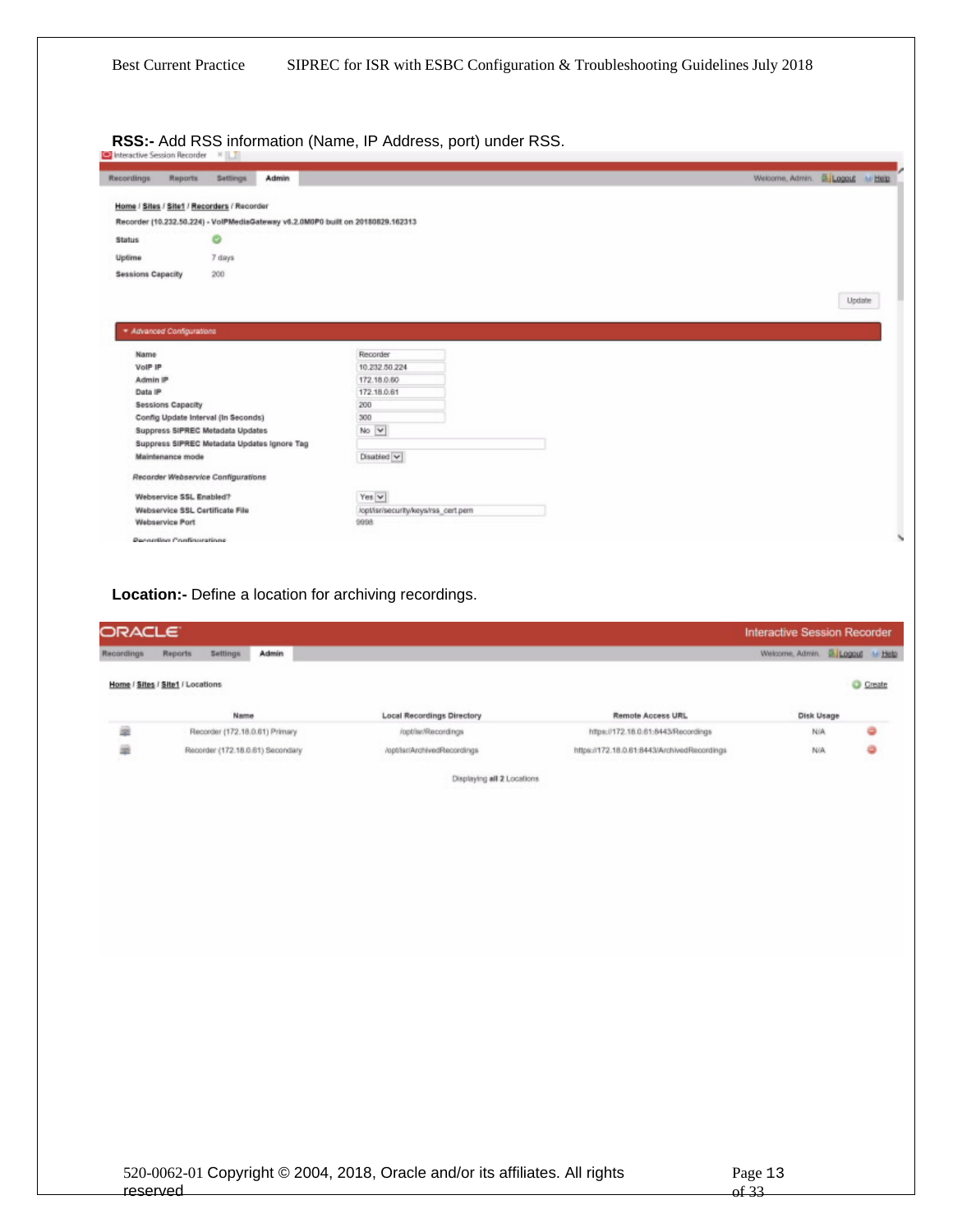**RSS:-** Add RSS information (Name, IP Address, port) under RSS.

|                          |                                 | Home / Sites / Site1 / Recorders / Recorder |                                             |                                                                                 |        |
|--------------------------|---------------------------------|---------------------------------------------|---------------------------------------------|---------------------------------------------------------------------------------|--------|
|                          |                                 |                                             |                                             | Recorder (10.232.50.224) - VolPMediaGateway v6.2.0M0P0 built on 20180829.162313 |        |
| <b>Status</b>            |                                 |                                             |                                             |                                                                                 |        |
| Uptime                   |                                 | $7 \mathrm{~days}$                          |                                             |                                                                                 |        |
| <b>Sessions Capacity</b> |                                 | 200                                         |                                             |                                                                                 |        |
|                          |                                 |                                             |                                             |                                                                                 |        |
|                          |                                 |                                             |                                             |                                                                                 | Update |
|                          | * Advanced Configurations       |                                             |                                             |                                                                                 |        |
|                          |                                 |                                             |                                             |                                                                                 |        |
| Name                     |                                 |                                             |                                             | Recorder                                                                        |        |
| VolP IP                  |                                 |                                             |                                             | 10.232.50.224                                                                   |        |
| Admin IP                 |                                 |                                             |                                             | 172.18.0.60                                                                     |        |
| Data IP                  |                                 |                                             |                                             | 172.18.0.61                                                                     |        |
|                          | <b>Sessions Capacity</b>        |                                             |                                             | 200                                                                             |        |
|                          |                                 | Config Update Interval (In Seconds)         |                                             | 300                                                                             |        |
|                          |                                 | Suppress SIPREC Metadata Updates            |                                             | No V                                                                            |        |
|                          |                                 |                                             | Suppress SIPREC Metadata Updates Ignore Tag |                                                                                 |        |
|                          | Maintenance mode                |                                             |                                             | Disabled V                                                                      |        |
|                          |                                 | Recorder Webservice Configurations          |                                             |                                                                                 |        |
|                          | Webservice SSL Enabled?         |                                             |                                             | Yes $\vee$                                                                      |        |
|                          | Webservice SSL Certificate File |                                             |                                             | /opt/isn/security/keys/rss_cert.pem                                             |        |
|                          | <b>Webservice Port</b>          |                                             |                                             | 1998                                                                            |        |
|                          | <b>Perneting Configurations</b> |                                             |                                             |                                                                                 |        |

| Name                                                                                                                                              | <b>Local Recordings Directory</b>                                                           | Remote Access URL                                                                                                                                             | Disk Usage |  |
|---------------------------------------------------------------------------------------------------------------------------------------------------|---------------------------------------------------------------------------------------------|---------------------------------------------------------------------------------------------------------------------------------------------------------------|------------|--|
| Recorder (172.18.0.61) Primary                                                                                                                    | /opt/isr/Recordings                                                                         | https://172.18.0.61:8443/Recordings                                                                                                                           | N/A        |  |
| Recorder (172.18.0.61) Secondary<br>The second conditions of the condition of the condition of the condition of the condition of the condition of | /opt/ist/ArchivedRecordings<br>AND A MOTOR CONTACT OF THE PARTY OF THE CONTACT OF THE TABLE | https://172.18.0.61:8443/ArchivedRecordings<br>i 1986 (Paul Boots, Indonesia ang ang antara sebagai di Paul Boots, Paul Boots, Paul Boots, Paul Boots, Paul B | N/A        |  |

Displaying all 2 Locations

| 520-0062-01 Copyright © 2004, 2018, Oracle and/or its affiliates. All rights |  |
|------------------------------------------------------------------------------|--|
| reserved                                                                     |  |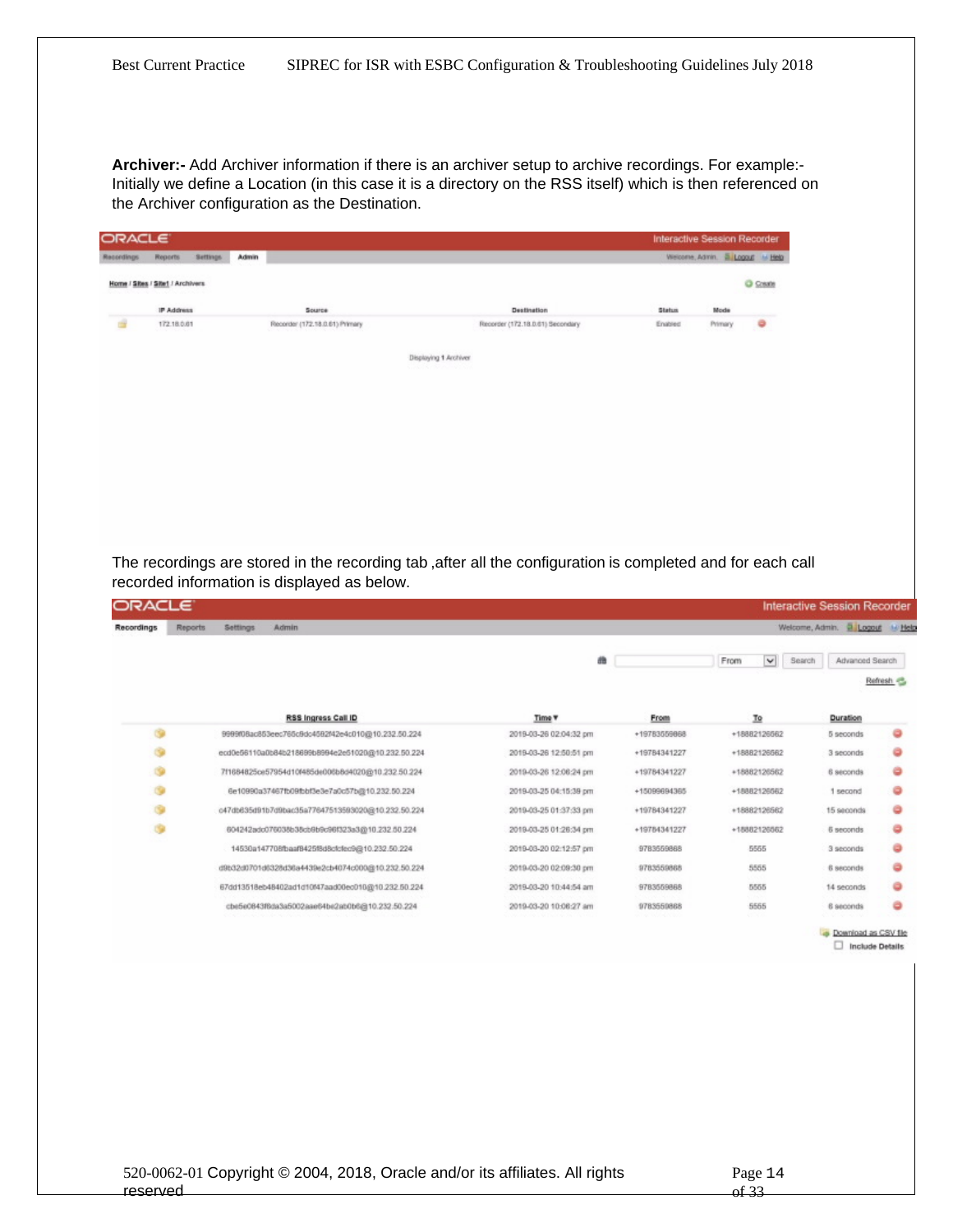**Archiver:-** Add Archiver information if there is an archiver setup to archive recordings. For example:- Initially we define a Location (in this case it is a directory on the RSS itself) which is then referenced on the Archiver configuration as the Destination.

| Settings.<br>Reports             |                                                                                                  |                                                                                                                                              | Interactive Session Recorder                              |                                 |                      |                                     |                        |           |
|----------------------------------|--------------------------------------------------------------------------------------------------|----------------------------------------------------------------------------------------------------------------------------------------------|-----------------------------------------------------------|---------------------------------|----------------------|-------------------------------------|------------------------|-----------|
|                                  | Admin                                                                                            |                                                                                                                                              |                                                           | Welcome, Admin. & Logout & Help |                      |                                     |                        |           |
| Home / Sites / Site1 / Archivers |                                                                                                  |                                                                                                                                              |                                                           |                                 | C Create             |                                     |                        |           |
|                                  |                                                                                                  |                                                                                                                                              |                                                           |                                 |                      |                                     |                        |           |
| IP Address                       | Source                                                                                           | Destination                                                                                                                                  | <b>Status</b>                                             | Mode                            |                      |                                     |                        |           |
|                                  |                                                                                                  |                                                                                                                                              |                                                           |                                 |                      |                                     |                        |           |
|                                  |                                                                                                  |                                                                                                                                              |                                                           |                                 |                      |                                     |                        |           |
|                                  |                                                                                                  |                                                                                                                                              |                                                           |                                 |                      |                                     |                        |           |
|                                  |                                                                                                  |                                                                                                                                              |                                                           |                                 |                      |                                     |                        |           |
|                                  |                                                                                                  |                                                                                                                                              |                                                           |                                 |                      |                                     |                        |           |
|                                  |                                                                                                  |                                                                                                                                              |                                                           |                                 |                      |                                     |                        |           |
|                                  |                                                                                                  |                                                                                                                                              |                                                           |                                 |                      |                                     |                        |           |
|                                  |                                                                                                  |                                                                                                                                              |                                                           |                                 |                      |                                     |                        |           |
|                                  |                                                                                                  |                                                                                                                                              |                                                           |                                 |                      |                                     |                        |           |
|                                  |                                                                                                  |                                                                                                                                              |                                                           |                                 |                      |                                     |                        |           |
|                                  |                                                                                                  |                                                                                                                                              |                                                           |                                 |                      |                                     |                        |           |
|                                  |                                                                                                  |                                                                                                                                              |                                                           |                                 |                      |                                     |                        |           |
|                                  |                                                                                                  |                                                                                                                                              |                                                           |                                 |                      |                                     |                        |           |
|                                  |                                                                                                  |                                                                                                                                              |                                                           |                                 |                      |                                     |                        |           |
|                                  |                                                                                                  |                                                                                                                                              |                                                           |                                 |                      |                                     |                        |           |
|                                  |                                                                                                  |                                                                                                                                              |                                                           |                                 |                      |                                     |                        |           |
|                                  |                                                                                                  |                                                                                                                                              |                                                           |                                 |                      |                                     |                        |           |
|                                  | recorded information is displayed as below.                                                      |                                                                                                                                              |                                                           |                                 |                      |                                     |                        |           |
| ORACLE                           |                                                                                                  |                                                                                                                                              |                                                           |                                 |                      | <b>Interactive Session Recorder</b> |                        |           |
| <b>Reports</b>                   | Settlings<br>Admin                                                                               |                                                                                                                                              |                                                           |                                 |                      | Welcome, Admin. 2 Logout M Help     |                        |           |
|                                  |                                                                                                  |                                                                                                                                              |                                                           |                                 |                      |                                     |                        |           |
|                                  |                                                                                                  |                                                                                                                                              | 曲                                                         | From                            | $\checkmark$         | Search                              | Advanced Search        |           |
|                                  |                                                                                                  |                                                                                                                                              |                                                           |                                 |                      |                                     |                        |           |
|                                  |                                                                                                  |                                                                                                                                              |                                                           |                                 |                      |                                     |                        |           |
|                                  | RSS Ingress Call ID                                                                              | Time <b>v</b>                                                                                                                                | From                                                      |                                 | 卫                    |                                     | Duration               |           |
|                                  | 999908ac853eec765c9dc4582f42e4c010@10.232.50.224                                                 | 2019-03-26 02:04:32 pm                                                                                                                       | +19783559868                                              |                                 | +18882126562         |                                     | 5 seconds              |           |
|                                  | ecd0e56110a0b84b218699b8994e2e51020@10.232.50.224                                                | 2019-03-26 12:50:51 pm                                                                                                                       | +19784341227                                              |                                 | +18882126662         |                                     | 3 seconds              |           |
|                                  | 7f1684825ce57954d10f485de006b8d4020@10.232.50.224                                                | 2019-03-26 12:06:24 pm                                                                                                                       | +19784341227                                              |                                 | +18882126562         |                                     | 6 seconds              |           |
|                                  | 6e10990a37467fb09fbbf3e3e7a0c57b@10.232.50.224                                                   | 2019-03-25 04:15:39 pm                                                                                                                       | +15099694365                                              |                                 | +18882126562         |                                     | 1 second               |           |
|                                  |                                                                                                  |                                                                                                                                              | +19784341227                                              |                                 | +18882126562         |                                     | 15 seconds             |           |
|                                  | c47db635d91b7d9bac35a77647513593020@10.232.50.224                                                | 2019-03-25 01:37:33 pm                                                                                                                       |                                                           |                                 |                      |                                     |                        |           |
|                                  | 604242adc076038b38cb9b9c96f323a3@10.232.50.224<br>14530a147708fbaaf8425f8d8cfcfec9@10.232.50.224 | 2019-03-25 01:26:34 pm<br>2019-03-20 02:12:57 pm                                                                                             | +19784341227<br>9783559868                                |                                 | +18882126562<br>5555 |                                     | 6 seconds<br>3 seconds | Refresh - |
|                                  | 172.18.0.61                                                                                      | Recorder (172.18.0.61) Primary<br>The recordings are stored in the recording tab, after all the configuration is completed and for each call | Recorder (172.18.0.61) Secondary<br>Displaying 1 Archiver | Enabled                         | Primary              |                                     |                        |           |

2019-03-20 10:44:54 am

2019-03-20 10:06:27 am

9783559868

9783559868

520-0062-01 Copyright © 2004, 2018, Oracle and/or its affiliates. All rights reserved

67dd13518eb48402ad1d10f47aad00ec010@10.232.50.224

cbe5e0843f8da3a5002aae64be2ab0b6@10.232.50.224

5555

5565

14 seconds

6 seconds

Download as CSV file  $\Box$  Include Details

۰

a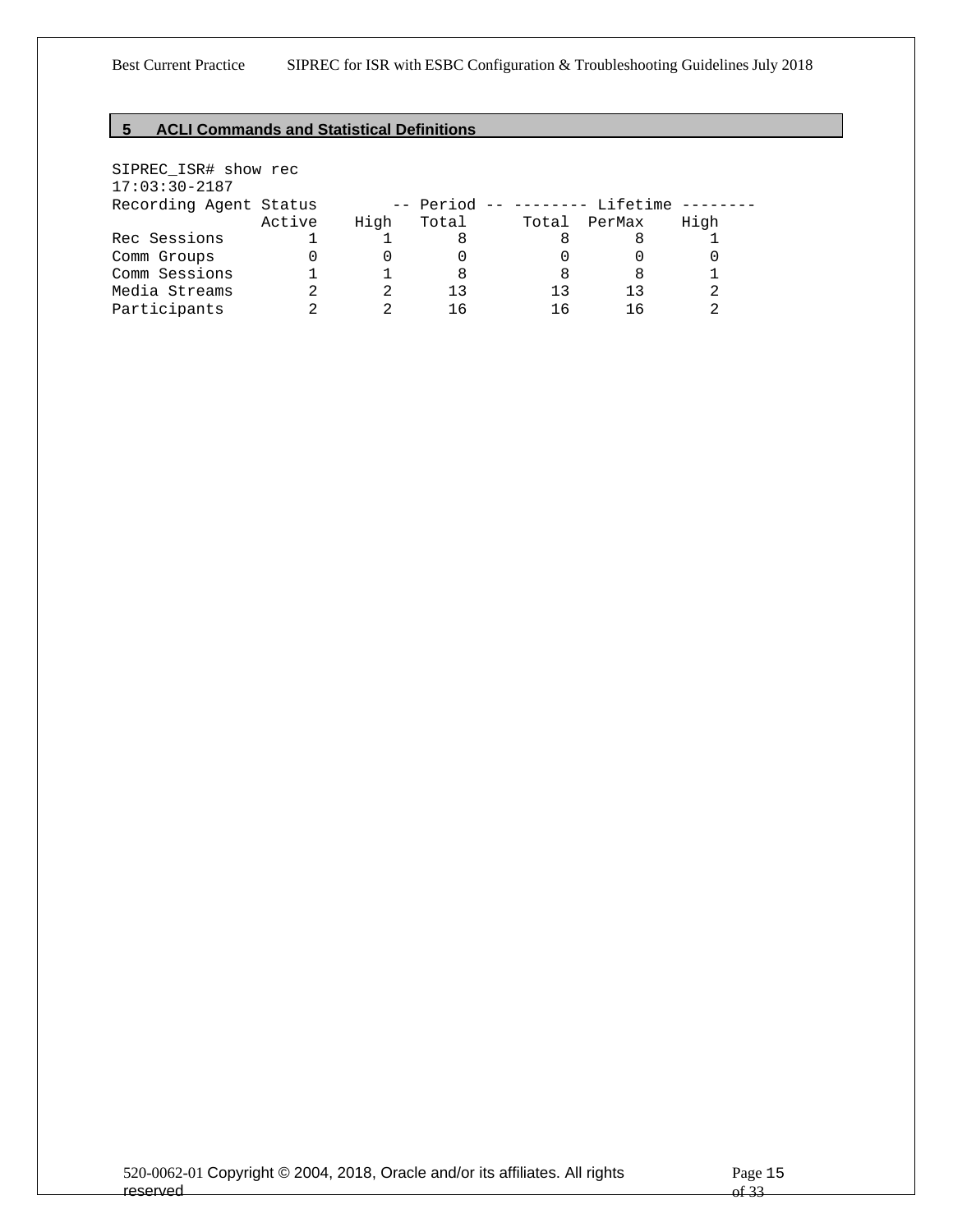## <span id="page-14-0"></span>**5 ACLI Commands and Statistical Definitions**

| SIPREC_ISR# show rec   |        |      |       |  |       |                                |      |
|------------------------|--------|------|-------|--|-------|--------------------------------|------|
| $17:03:30-2187$        |        |      |       |  |       |                                |      |
| Recording Agent Status |        |      |       |  |       | -- Period -- -------- Lifetime |      |
|                        | Active | High | Total |  | Total | PerMax                         | High |
| Rec Sessions           |        |      | 8     |  |       |                                |      |
| Comm Groups            |        |      |       |  |       |                                |      |
| Comm Sessions          |        |      | 8     |  | 8     | 8                              |      |
| Media Streams          |        |      | 13    |  | 13    | 13                             |      |
| Participants           |        |      | 16    |  |       | 1 6                            |      |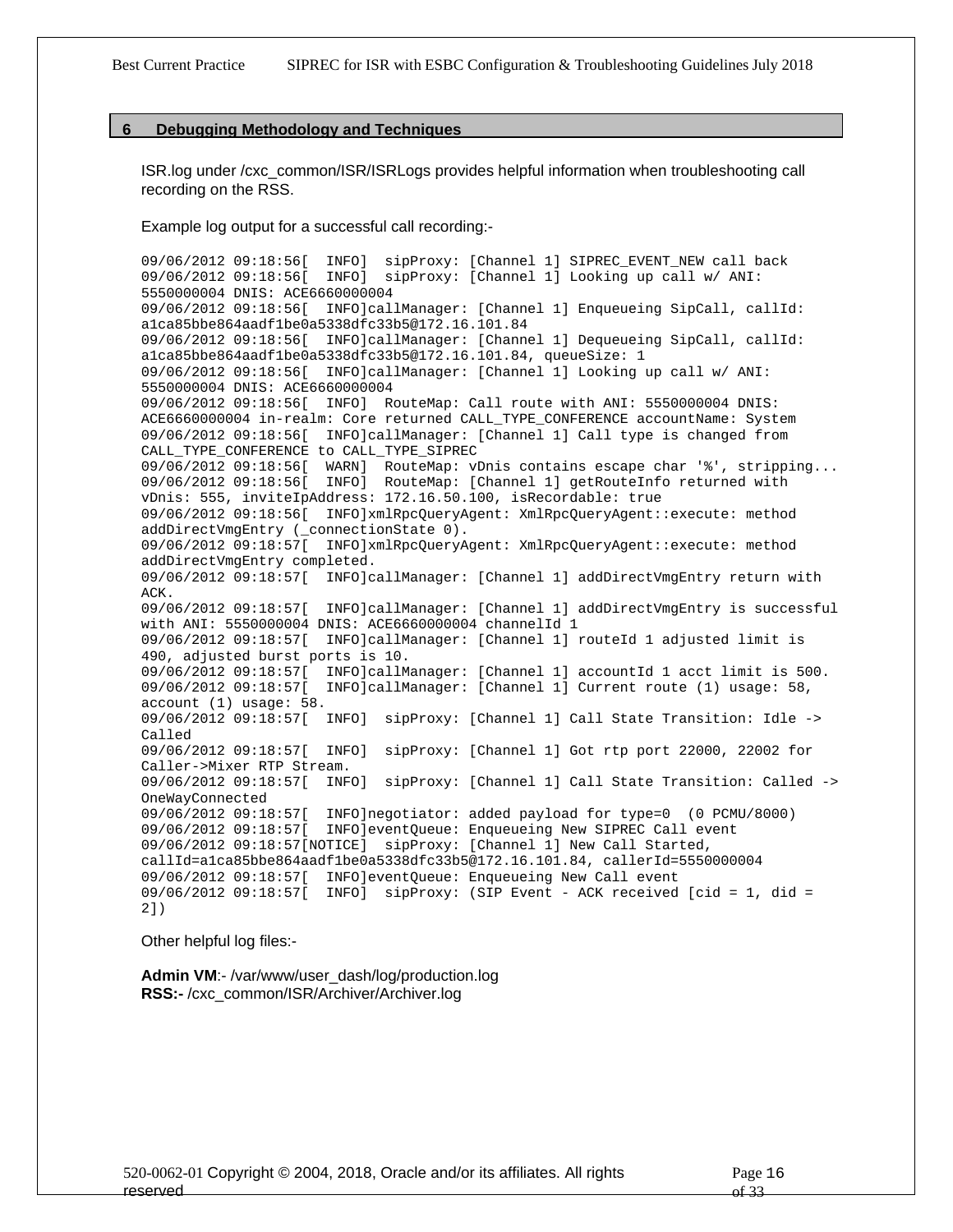#### <span id="page-15-0"></span>**6 Debugging Methodology and Techniques**

ISR.log under /cxc\_common/ISR/ISRLogs provides helpful information when troubleshooting call recording on the RSS.

Example log output for a successful call recording:-

09/06/2012 09:18:56[ INFO] sipProxy: [Channel 1] SIPREC\_EVENT\_NEW call back 09/06/2012 09:18:56[ INFO] sipProxy: [Channel 1] Looking up call w/ ANI: 5550000004 DNIS: ACE6660000004 09/06/2012 09:18:56[ INFO]callManager: [Channel 1] Enqueueing SipCall, callId: [a1ca85bbe864aadf1be0a5338dfc33b5@172.16.101.84](mailto:a1ca85bbe864aadf1be0a5338dfc33b5@172.16.101.84) 09/06/2012 09:18:56[ INFO]callManager: [Channel 1] Dequeueing SipCall, callId: [a1ca85bbe864aadf1be0a5338dfc33b5@172.16.101.84,](mailto:a1ca85bbe864aadf1be0a5338dfc33b5@172.16.101.84) queueSize: 1 09/06/2012 09:18:56[ INFO]callManager: [Channel 1] Looking up call w/ ANI: 5550000004 DNIS: ACE6660000004 09/06/2012 09:18:56[ INFO] RouteMap: Call route with ANI: 5550000004 DNIS: ACE6660000004 in-realm: Core returned CALL\_TYPE\_CONFERENCE accountName: System 09/06/2012 09:18:56[ INFO]callManager: [Channel 1] Call type is changed from CALL\_TYPE\_CONFERENCE to CALL\_TYPE\_SIPREC 09/06/2012 09:18:56[ WARN] RouteMap: vDnis contains escape char '%', stripping... 09/06/2012 09:18:56[ INFO] RouteMap: [Channel 1] getRouteInfo returned with vDnis: 555, inviteIpAddress: 172.16.50.100, isRecordable: true 09/06/2012 09:18:56[ INFO]xmlRpcQueryAgent: XmlRpcQueryAgent::execute: method addDirectVmgEntry (\_connectionState 0). 09/06/2012 09:18:57[ INFO]xmlRpcQueryAgent: XmlRpcQueryAgent::execute: method addDirectVmgEntry completed. 09/06/2012 09:18:57[ INFO]callManager: [Channel 1] addDirectVmgEntry return with ACK. 09/06/2012 09:18:57[ INFO]callManager: [Channel 1] addDirectVmgEntry is successful with ANI: 5550000004 DNIS: ACE6660000004 channelId 1 09/06/2012 09:18:57[ INFO]callManager: [Channel 1] routeId 1 adjusted limit is 490, adjusted burst ports is 10. 09/06/2012 09:18:57[ INFO]callManager: [Channel 1] accountId 1 acct limit is 500. 09/06/2012 09:18:57[ INFO]callManager: [Channel 1] Current route (1) usage: 58, account (1) usage: 58. 09/06/2012 09:18:57[ INFO] sipProxy: [Channel 1] Call State Transition: Idle -> Called 09/06/2012 09:18:57[ INFO] sipProxy: [Channel 1] Got rtp port 22000, 22002 for Caller->Mixer RTP Stream. 09/06/2012 09:18:57[ INFO] sipProxy: [Channel 1] Call State Transition: Called -> OneWayConnected 09/06/2012 09:18:57[ INFO]negotiator: added payload for type=0 (0 PCMU/8000) 09/06/2012 09:18:57[ INFO]eventQueue: Enqueueing New SIPREC Call event 09/06/2012 09:18:57[NOTICE] sipProxy: [Channel 1] New Call Started, [callId=a1ca85bbe864aadf1be0a5338dfc33b5@172.16.101.84,](mailto:callId%3Da1ca85bbe864aadf1be0a5338dfc33b5@172.16.101.84) callerId=5550000004 09/06/2012 09:18:57[ INFO]eventQueue: Enqueueing New Call event 09/06/2012 09:18:57[ INFO] sipProxy: (SIP Event - ACK received [cid = 1, did = 2])

Other helpful log files:-

**Admin VM**:- /var/www/user\_dash/log/production.log **RSS:-** /cxc\_common/ISR/Archiver/Archiver.log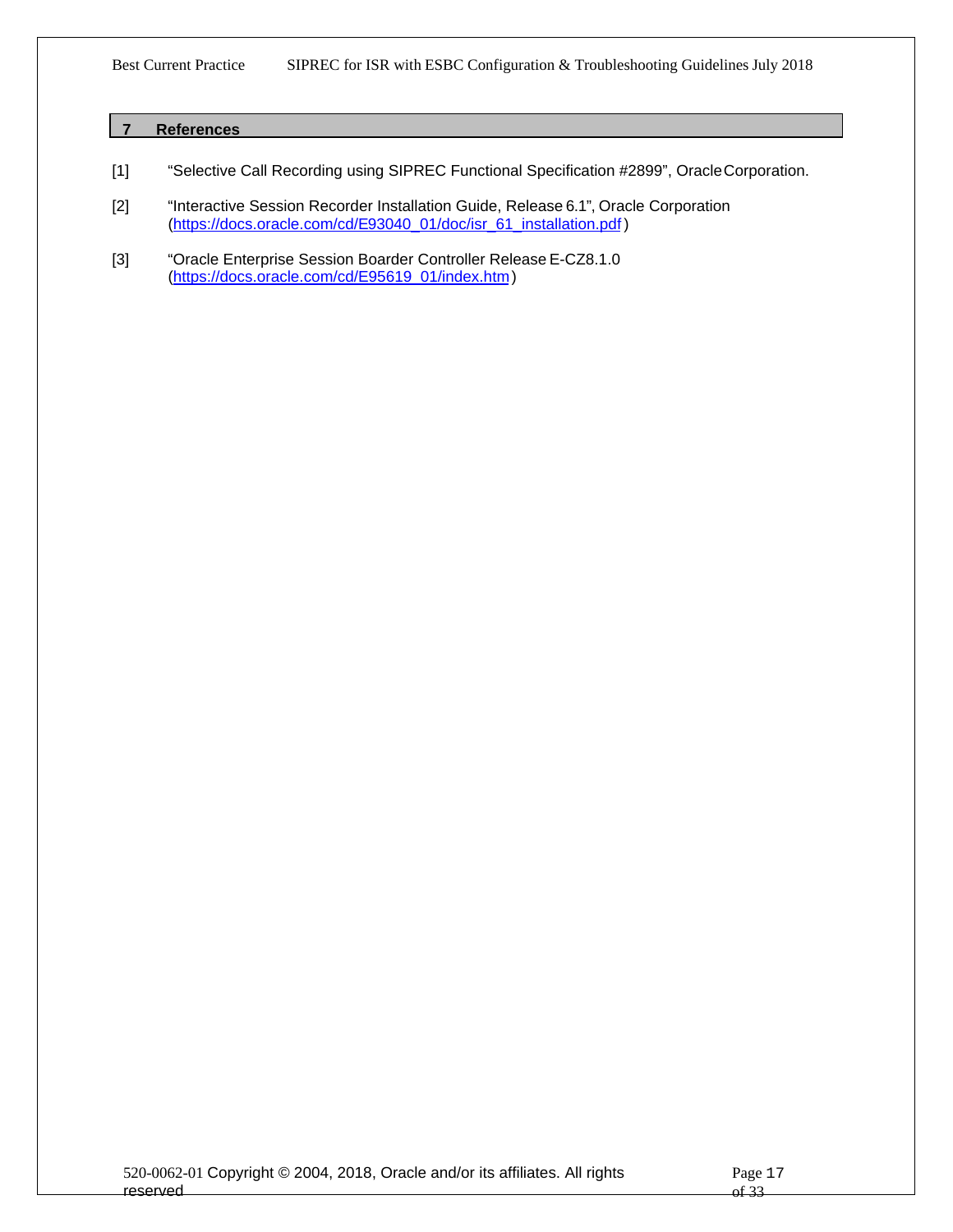### <span id="page-16-0"></span>**7 References**

- [1] "Selective Call Recording using SIPREC Functional Specification #2899", OracleCorporation.
- [2] "Interactive Session Recorder Installation Guide, Release 6.1", Oracle Corporation [\(https://docs.oracle.com/cd/E93040\\_01/doc/isr\\_61\\_installation.pdf](https://docs.oracle.com/cd/E93040_01/doc/isr_61_installation.pdf))
- [3] "Oracle Enterprise Session Boarder Controller Release E-CZ8.1.0 [\(https://docs.oracle.com/cd/E95619\\_01/index.htm](https://docs.oracle.com/cd/E95619_01/index.htm))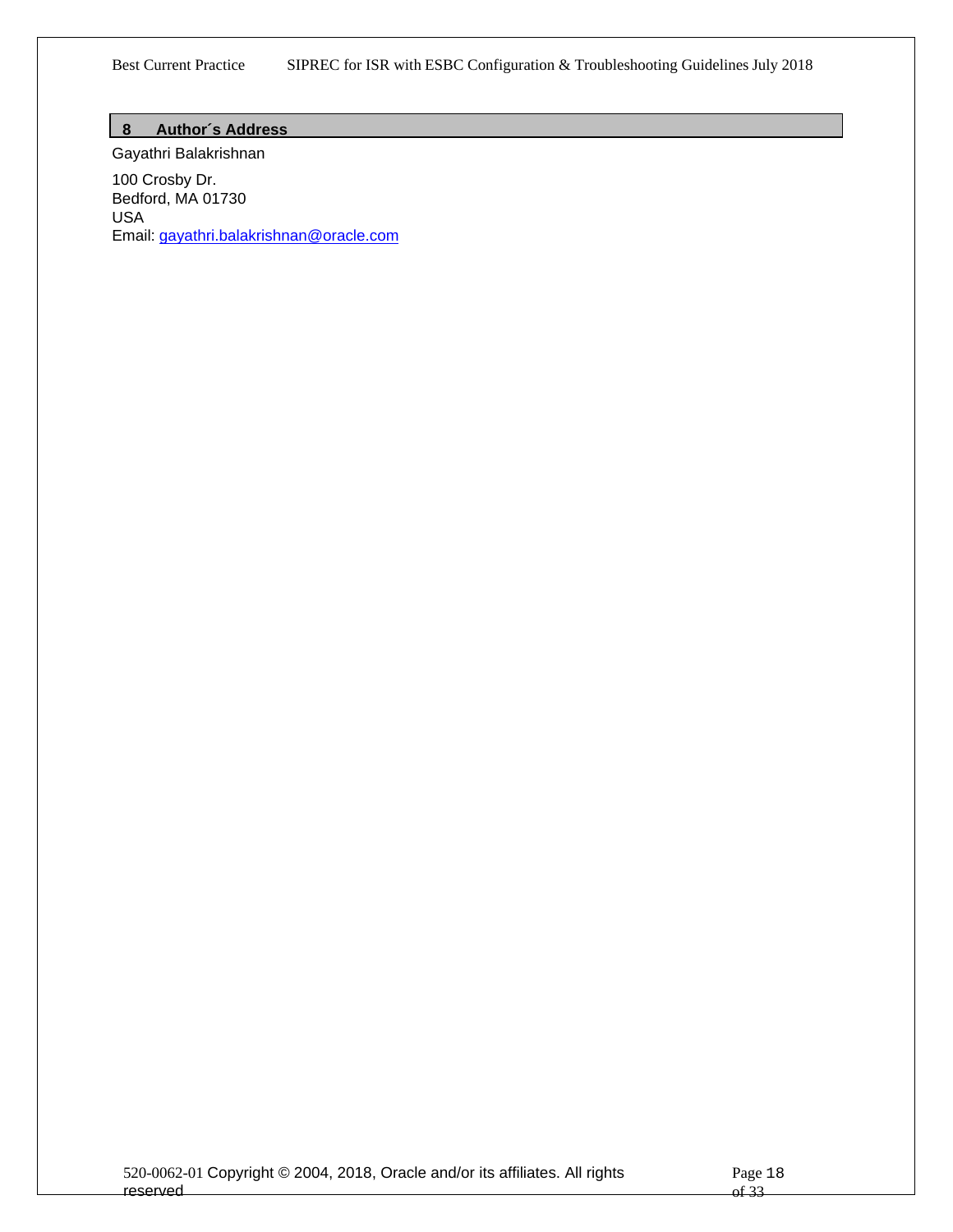### <span id="page-17-0"></span>**8 Author´s Address**

Gayathri Balakrishnan 100 Crosby Dr. Bedford, MA 01730 USA Email: [gayathri.balakrishnan@oracle.com](mailto:gayathri.balakrishnan@oracle.com)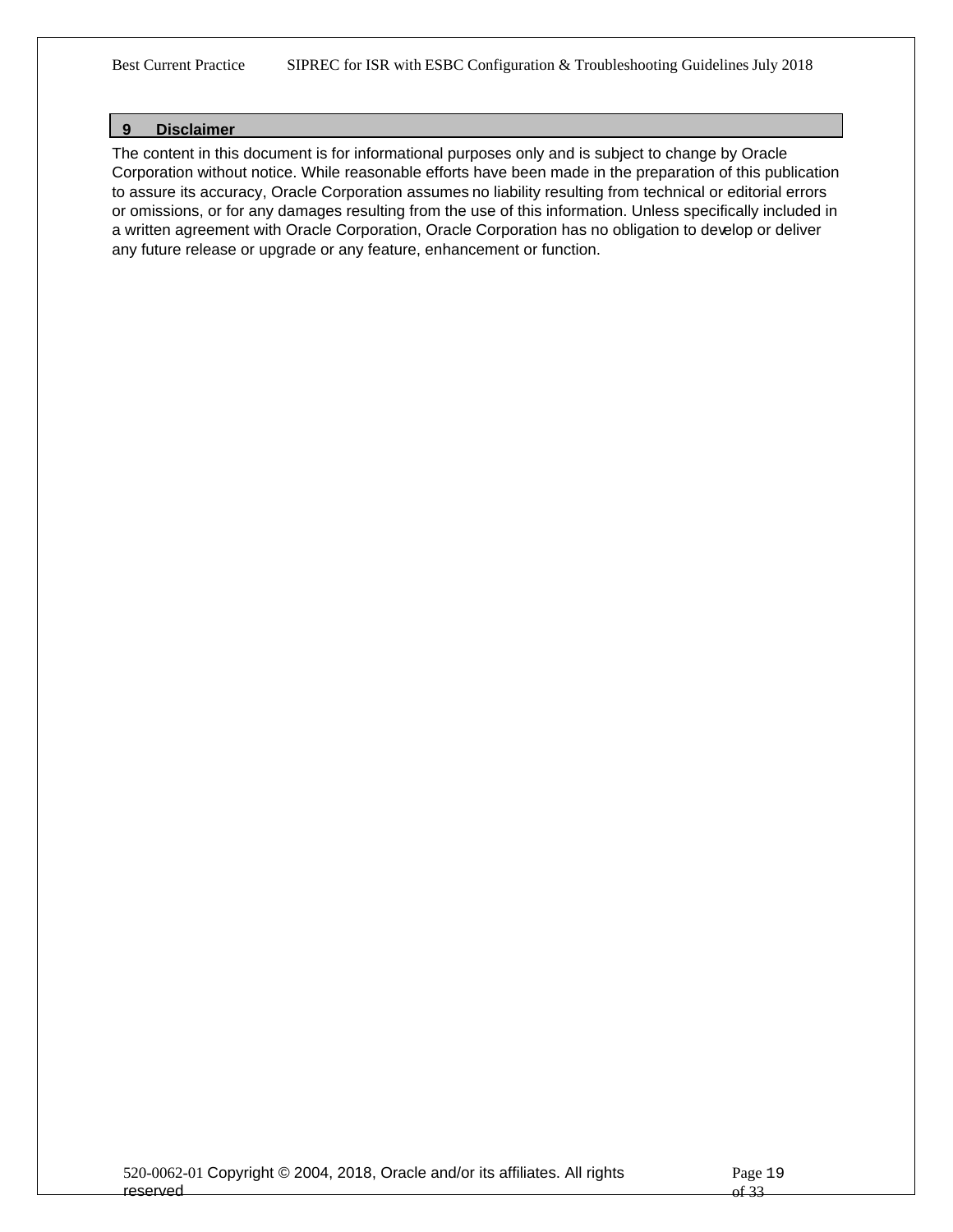#### <span id="page-18-0"></span>**9 Disclaimer**

The content in this document is for informational purposes only and is subject to change by Oracle Corporation without notice. While reasonable efforts have been made in the preparation of this publication to assure its accuracy, Oracle Corporation assumes no liability resulting from technical or editorial errors or omissions, or for any damages resulting from the use of this information. Unless specifically included in a written agreement with Oracle Corporation, Oracle Corporation has no obligation to develop or deliver any future release or upgrade or any feature, enhancement or function.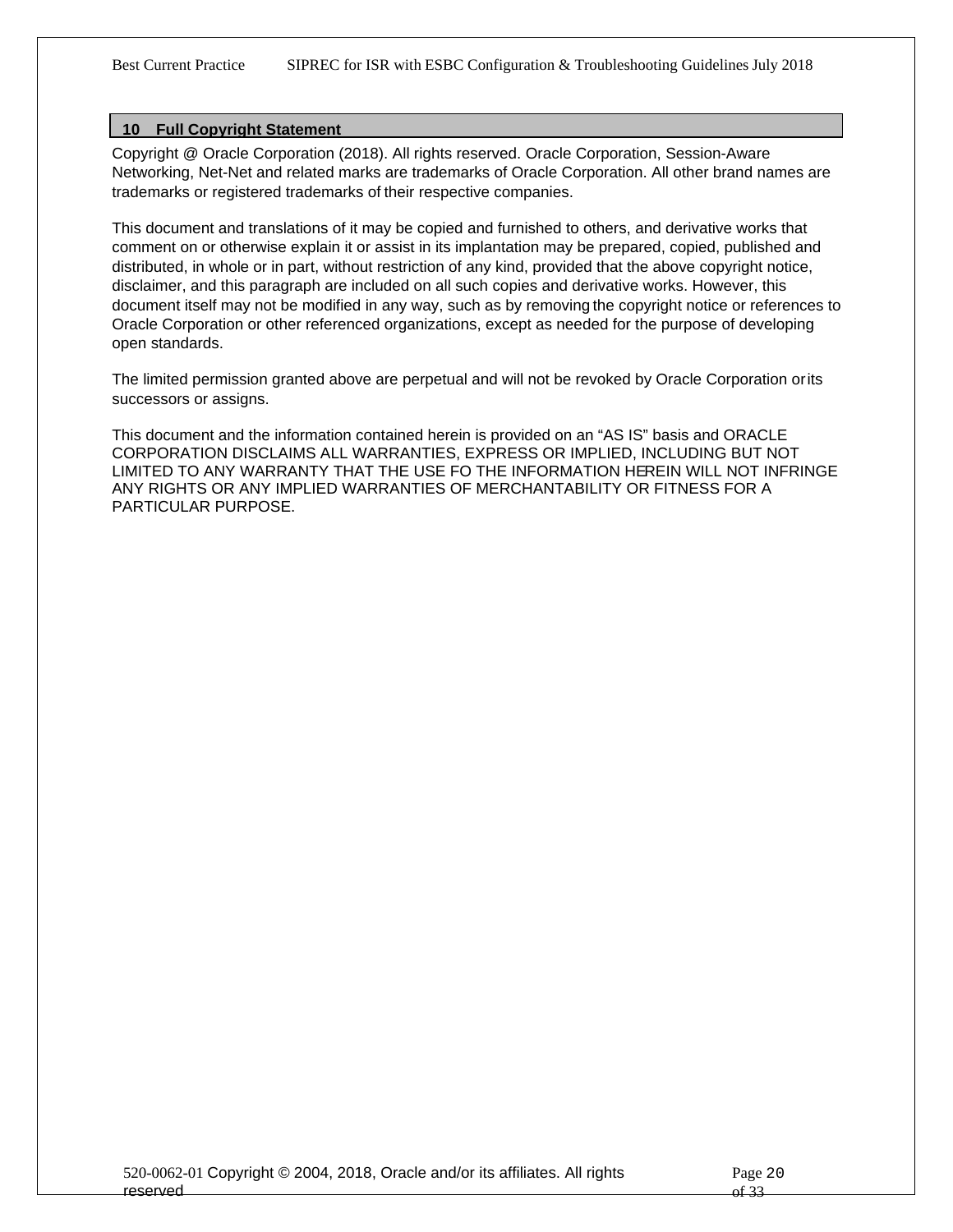#### <span id="page-19-0"></span>**10 Full Copyright Statement**

Copyright @ Oracle Corporation (2018). All rights reserved. Oracle Corporation, Session-Aware Networking, Net-Net and related marks are trademarks of Oracle Corporation. All other brand names are trademarks or registered trademarks of their respective companies.

This document and translations of it may be copied and furnished to others, and derivative works that comment on or otherwise explain it or assist in its implantation may be prepared, copied, published and distributed, in whole or in part, without restriction of any kind, provided that the above copyright notice, disclaimer, and this paragraph are included on all such copies and derivative works. However, this document itself may not be modified in any way, such as by removing the copyright notice or references to Oracle Corporation or other referenced organizations, except as needed for the purpose of developing open standards.

The limited permission granted above are perpetual and will not be revoked by Oracle Corporation or its successors or assigns.

This document and the information contained herein is provided on an "AS IS" basis and ORACLE CORPORATION DISCLAIMS ALL WARRANTIES, EXPRESS OR IMPLIED, INCLUDING BUT NOT LIMITED TO ANY WARRANTY THAT THE USE FO THE INFORMATION HEREIN WILL NOT INFRINGE ANY RIGHTS OR ANY IMPLIED WARRANTIES OF MERCHANTABILITY OR FITNESS FOR A PARTICULAR PURPOSE.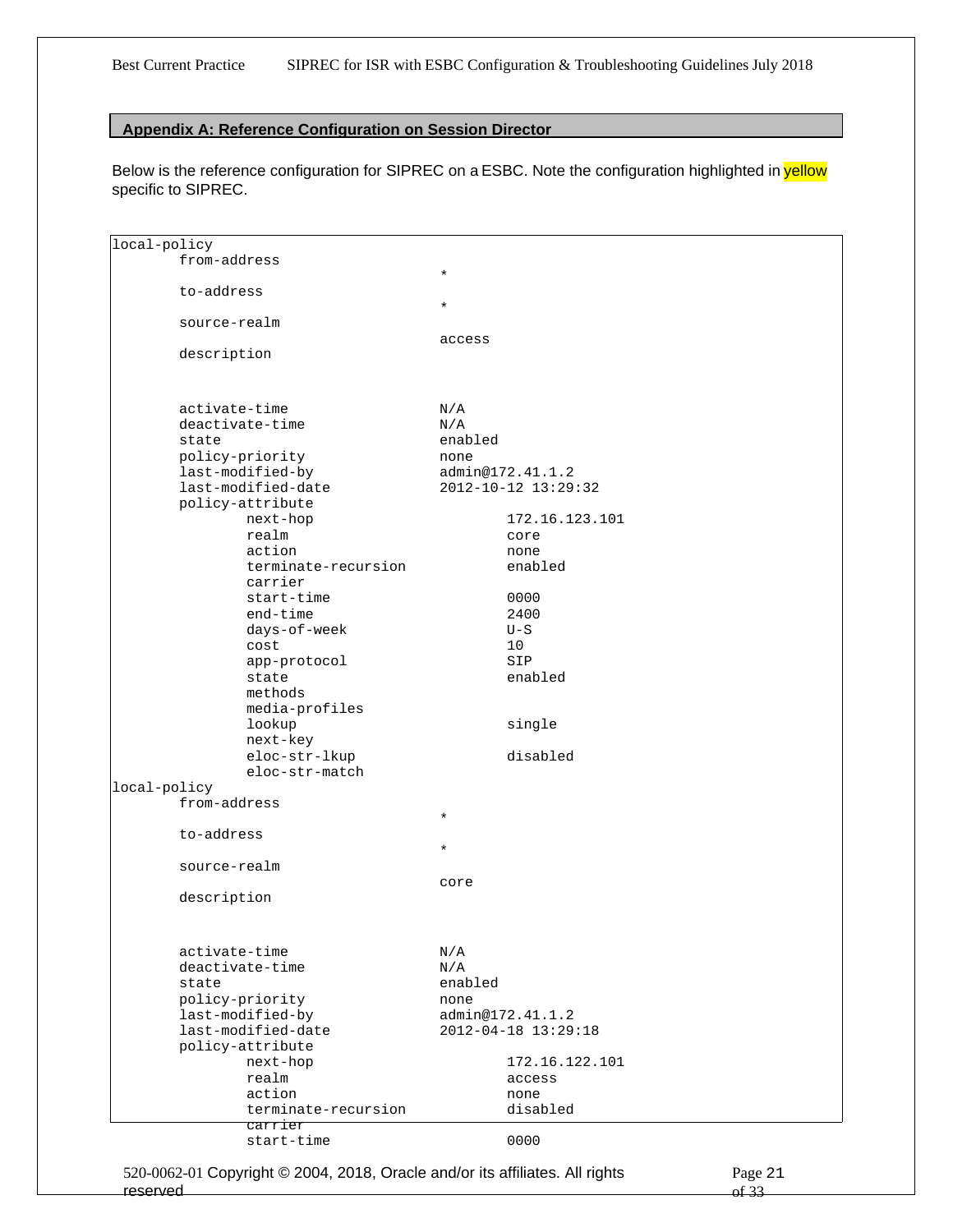#### <span id="page-20-0"></span>**Appendix A: Reference Configuration on Session Director**

Below is the reference configuration for SIPREC on a ESBC. Note the configuration highlighted in yellow specific to SIPREC.

| local-policy |                     |         |                     |
|--------------|---------------------|---------|---------------------|
|              | from-address        |         |                     |
|              |                     | $\star$ |                     |
|              | to-address          |         |                     |
|              |                     | $\star$ |                     |
|              | source-realm        |         |                     |
|              |                     | access  |                     |
|              | description         |         |                     |
|              |                     |         |                     |
|              |                     |         |                     |
|              |                     |         |                     |
|              | activate-time       | N/A     |                     |
|              | deactivate-time     | N/A     |                     |
|              | state               | enabled |                     |
|              | policy-priority     | none    |                     |
|              | last-modified-by    |         | admin@172.41.1.2    |
|              | last-modified-date  |         | 2012-10-12 13:29:32 |
|              | policy-attribute    |         |                     |
|              | next-hop            |         | 172.16.123.101      |
|              | realm               |         | core                |
|              | action              |         | none                |
|              | terminate-recursion |         | enabled             |
|              | carrier             |         |                     |
|              | start-time          |         | 0000                |
|              | end-time            |         | 2400                |
|              |                     |         |                     |
|              | days-of-week        |         | $U-S$               |
|              | cost                |         | 10                  |
|              | app-protocol        |         | SIP                 |
|              | state               |         | enabled             |
|              | methods             |         |                     |
|              | media-profiles      |         |                     |
|              | lookup              |         | single              |
|              | next-key            |         |                     |
|              | eloc-str-lkup       |         | disabled            |
|              | eloc-str-match      |         |                     |
| local-policy |                     |         |                     |
|              | from-address        |         |                     |
|              |                     | $\star$ |                     |
|              | to-address          |         |                     |
|              |                     | $\star$ |                     |
|              | source-realm        |         |                     |
|              |                     | core    |                     |
|              | description         |         |                     |
|              |                     |         |                     |
|              |                     |         |                     |
|              |                     |         |                     |
|              | activate-time       | N/A     |                     |
|              | deactivate-time     | N/A     |                     |
|              | state               | enabled |                     |
|              | policy-priority     | none    |                     |
|              | last-modified-by    |         | admin@172.41.1.2    |
|              | last-modified-date  |         | 2012-04-18 13:29:18 |
|              | policy-attribute    |         |                     |
|              | next-hop            |         | 172.16.122.101      |
|              | realm               |         | access              |
|              | action              |         | none                |
|              | terminate-recursion |         | disabled            |
|              | carrier             |         |                     |
|              | start-time          |         | 0000                |
|              |                     |         |                     |

520-0062-01 Copyright © 2004, 2018, Oracle and/or its affiliates. All rights reserved

Page 21 of 33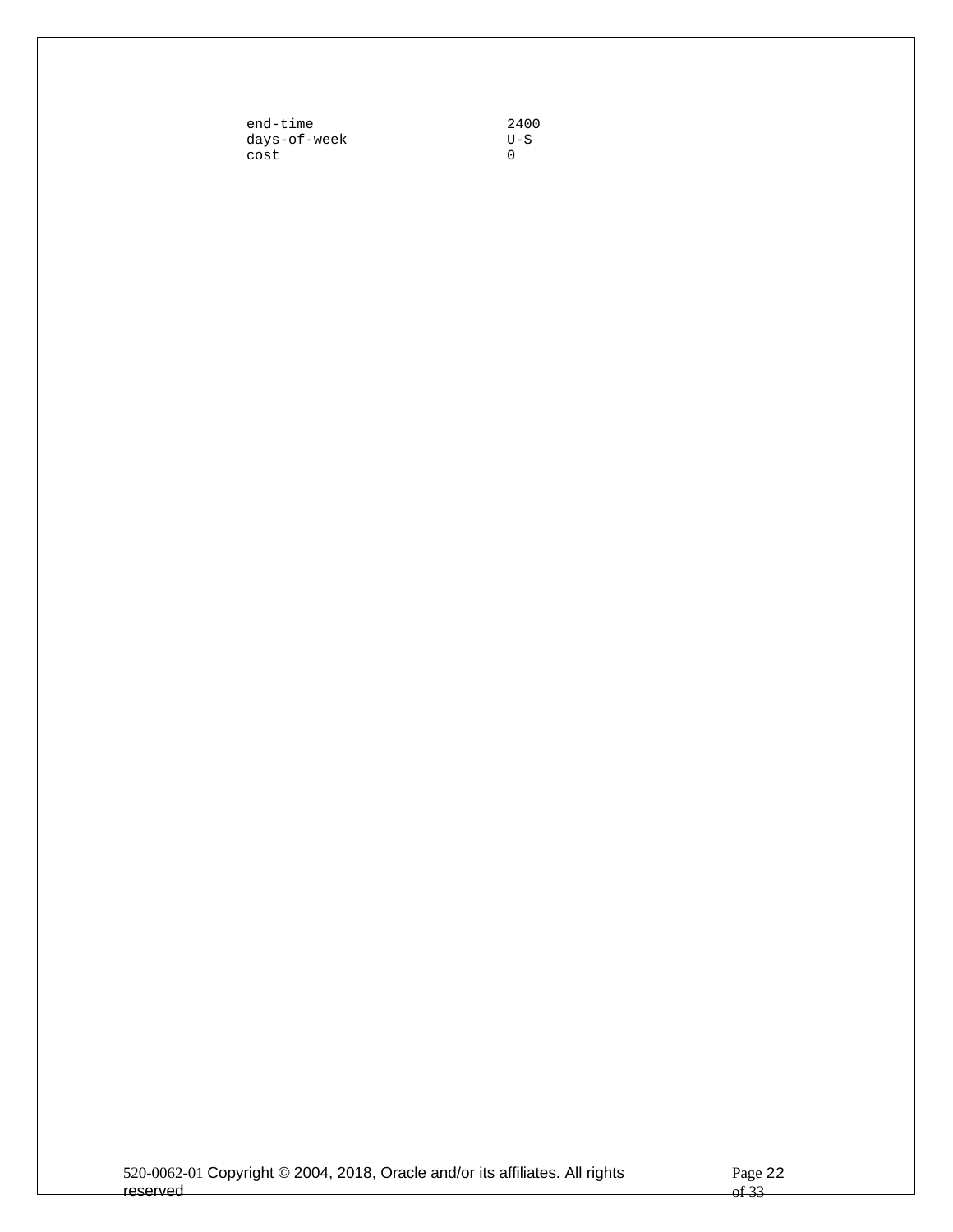| end-time     | 2400 |
|--------------|------|
| days-of-week | U-S  |
| cost         |      |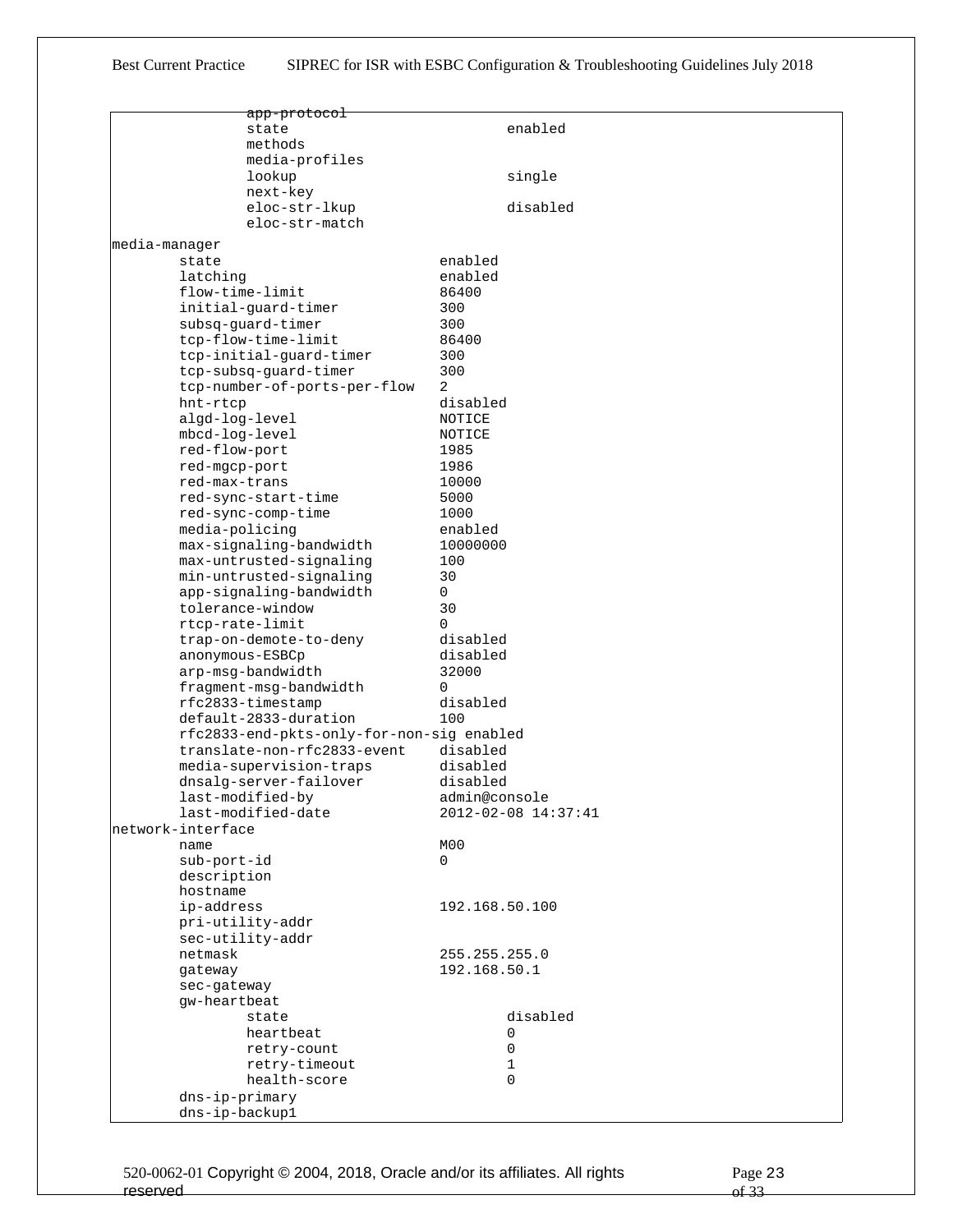|               | <del>app-protocol</del>                   |                |                     |
|---------------|-------------------------------------------|----------------|---------------------|
|               | state                                     |                | enabled             |
|               | methods                                   |                |                     |
|               | media-profiles                            |                |                     |
|               | lookup                                    |                | single              |
|               | next-key                                  |                |                     |
|               | eloc-str-lkup                             |                | disabled            |
|               | eloc-str-match                            |                |                     |
|               |                                           |                |                     |
| media-manager |                                           |                |                     |
|               | state                                     | enabled        |                     |
|               | latching                                  | enabled        |                     |
|               | flow-time-limit                           | 86400          |                     |
|               | initial-guard-timer                       | 300            |                     |
|               | subsq-quard-timer                         | 300            |                     |
|               | tcp-flow-time-limit                       | 86400          |                     |
|               | tcp-initial-guard-timer                   | 300            |                     |
|               | tcp-subsq-quard-timer                     | 300            |                     |
|               | tcp-number-of-ports-per-flow              | 2              |                     |
|               | hnt-rtcp                                  | disabled       |                     |
|               | algd-log-level                            | NOTICE         |                     |
|               | mbcd-log-level                            | NOTICE         |                     |
|               | red-flow-port                             | 1985           |                     |
|               | red-mgcp-port                             | 1986           |                     |
|               | red-max-trans                             | 10000          |                     |
|               | red-sync-start-time                       | 5000           |                     |
|               | red-sync-comp-time                        | 1000           |                     |
|               | media-policing                            | enabled        |                     |
|               | max-signaling-bandwidth                   | 10000000       |                     |
|               | max-untrusted-signaling                   | 100            |                     |
|               | min-untrusted-signaling                   | 30             |                     |
|               | app-signaling-bandwidth                   | 0              |                     |
|               | tolerance-window                          | 30             |                     |
|               | rtcp-rate-limit                           | $\Omega$       |                     |
|               | trap-on-demote-to-deny                    | disabled       |                     |
|               | anonymous-ESBCp                           | disabled       |                     |
|               | arp-msg-bandwidth                         | 32000          |                     |
|               | fragment-msg-bandwidth                    | $\Omega$       |                     |
|               | rfc2833-timestamp                         | disabled       |                     |
|               | default-2833-duration                     | 100            |                     |
|               | rfc2833-end-pkts-only-for-non-sig enabled |                |                     |
|               | translate-non-rfc2833-event               | disabled       |                     |
|               | media-supervision-traps                   | disabled       |                     |
|               | dnsalg-server-failover                    | disabled       |                     |
|               | last-modified-by                          | admin@console  |                     |
|               | last-modified-date                        |                | 2012-02-08 14:37:41 |
|               | metwork-interface                         |                |                     |
|               | name                                      | MOO            |                     |
|               | sub-port-id                               | 0              |                     |
|               | description                               |                |                     |
|               | hostname                                  |                |                     |
|               | ip-address                                | 192.168.50.100 |                     |
|               | pri-utility-addr                          |                |                     |
|               | sec-utility-addr                          |                |                     |
|               | netmask                                   | 255.255.255.0  |                     |
|               | gateway                                   | 192.168.50.1   |                     |
|               | sec-gateway                               |                |                     |
|               | gw-heartbeat                              |                |                     |
|               | state                                     |                | disabled            |
|               | heartbeat                                 |                | 0                   |
|               | retry-count                               |                | 0                   |
|               | retry-timeout                             |                | $\mathbf{1}$        |
|               | health-score                              |                | $\Omega$            |
|               |                                           |                |                     |
|               | dns-ip-primary                            |                |                     |
|               | dns-ip-backup1                            |                |                     |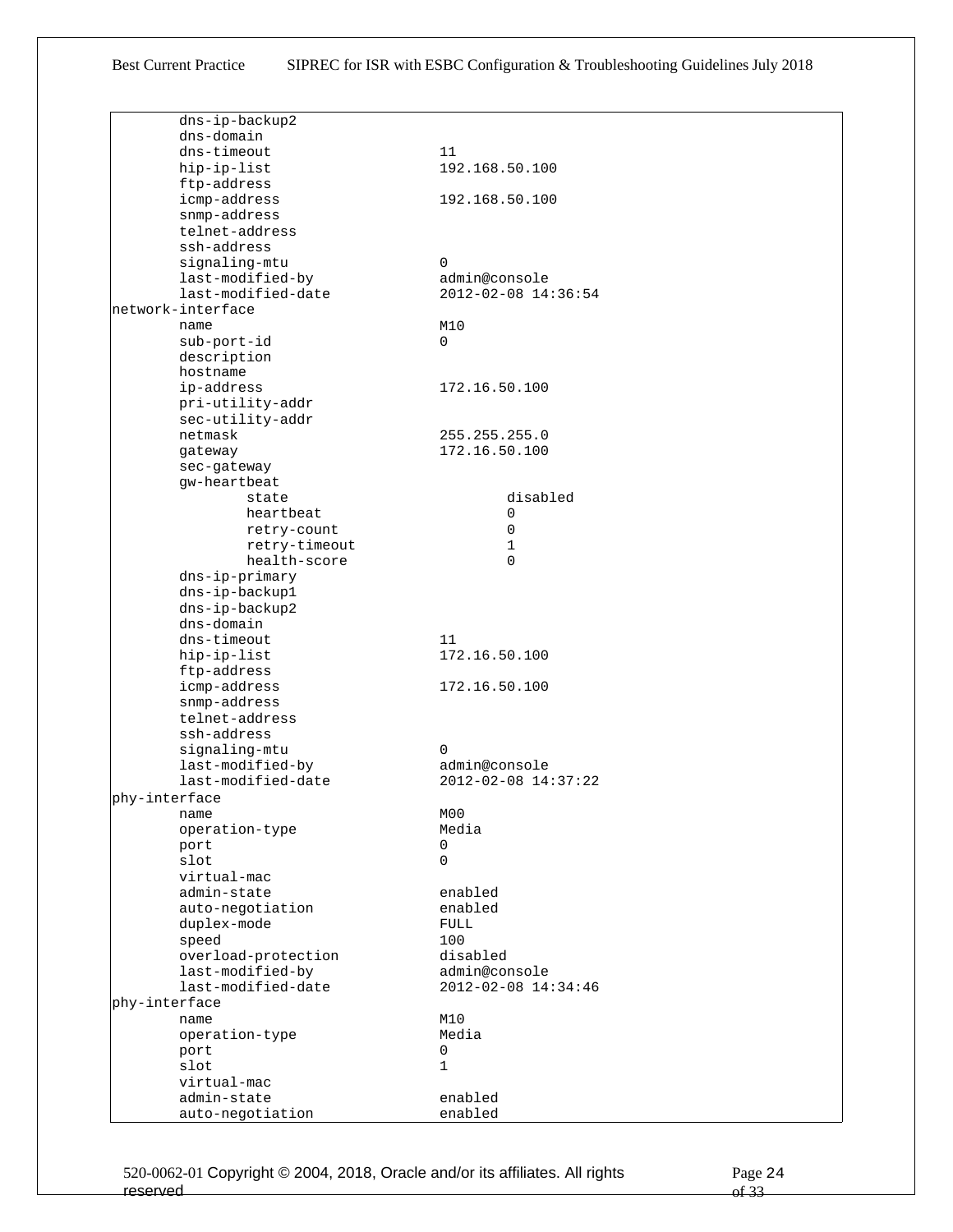|               | dns-ip-backup2      |                     |
|---------------|---------------------|---------------------|
|               | dns-domain          |                     |
|               | dns-timeout         | 11                  |
|               | hip-ip-list         | 192.168.50.100      |
|               | ftp-address         |                     |
|               | icmp-address        | 192.168.50.100      |
|               | snmp-address        |                     |
|               | telnet-address      |                     |
|               | ssh-address         |                     |
|               | signaling-mtu       | $\Omega$            |
|               | last-modified-by    | admin@console       |
|               | last-modified-date  | 2012-02-08 14:36:54 |
|               | network-interface   |                     |
|               | name                | M10                 |
|               | sub-port-id         | $\Omega$            |
|               | description         |                     |
|               | hostname            |                     |
|               | ip-address          | 172.16.50.100       |
|               | pri-utility-addr    |                     |
|               | sec-utility-addr    |                     |
|               | netmask             | 255.255.255.0       |
|               | gateway             | 172.16.50.100       |
|               | sec-gateway         |                     |
|               | qw-heartbeat        |                     |
|               | state               | disabled            |
|               | heartbeat           | 0                   |
|               | retry-count         | 0                   |
|               | retry-timeout       | 1                   |
|               | health-score        | $\Omega$            |
|               | dns-ip-primary      |                     |
|               | dns-ip-backup1      |                     |
|               | dns-ip-backup2      |                     |
|               | dns-domain          |                     |
|               | dns-timeout         | 11                  |
|               |                     | 172.16.50.100       |
|               | hip-ip-list         |                     |
|               | ftp-address         |                     |
|               | icmp-address        | 172.16.50.100       |
|               | snmp-address        |                     |
|               | telnet-address      |                     |
|               | ssh-address         |                     |
|               | signaling-mtu       | $\Omega$            |
|               | last-modified-by    | admin@console       |
|               | last-modified-date  | 2012-02-08 14:37:22 |
| phy-interface |                     |                     |
|               | name                | M <sub>0</sub>      |
|               | operation-type      | Media               |
|               | port                | 0                   |
|               | slot                | 0                   |
|               | virtual-mac         |                     |
|               | admin-state         | enabled             |
|               | auto-negotiation    | enabled             |
|               | duplex-mode         | <b>FULL</b>         |
|               | speed               | 100                 |
|               | overload-protection | disabled            |
|               | last-modified-by    | admin@console       |
|               | last-modified-date  | 2012-02-08 14:34:46 |
| phy-interface |                     |                     |
|               | name                | M10                 |
|               | operation-type      | Media               |
|               | port                | 0                   |
|               | slot                | 1                   |
|               | virtual-mac         |                     |
|               | admin-state         | enabled             |
|               |                     | enabled             |
|               | auto-negotiation    |                     |

520-0062-01 Copyright © 2004, 2018, Oracle and/or its affiliates. All rights reserved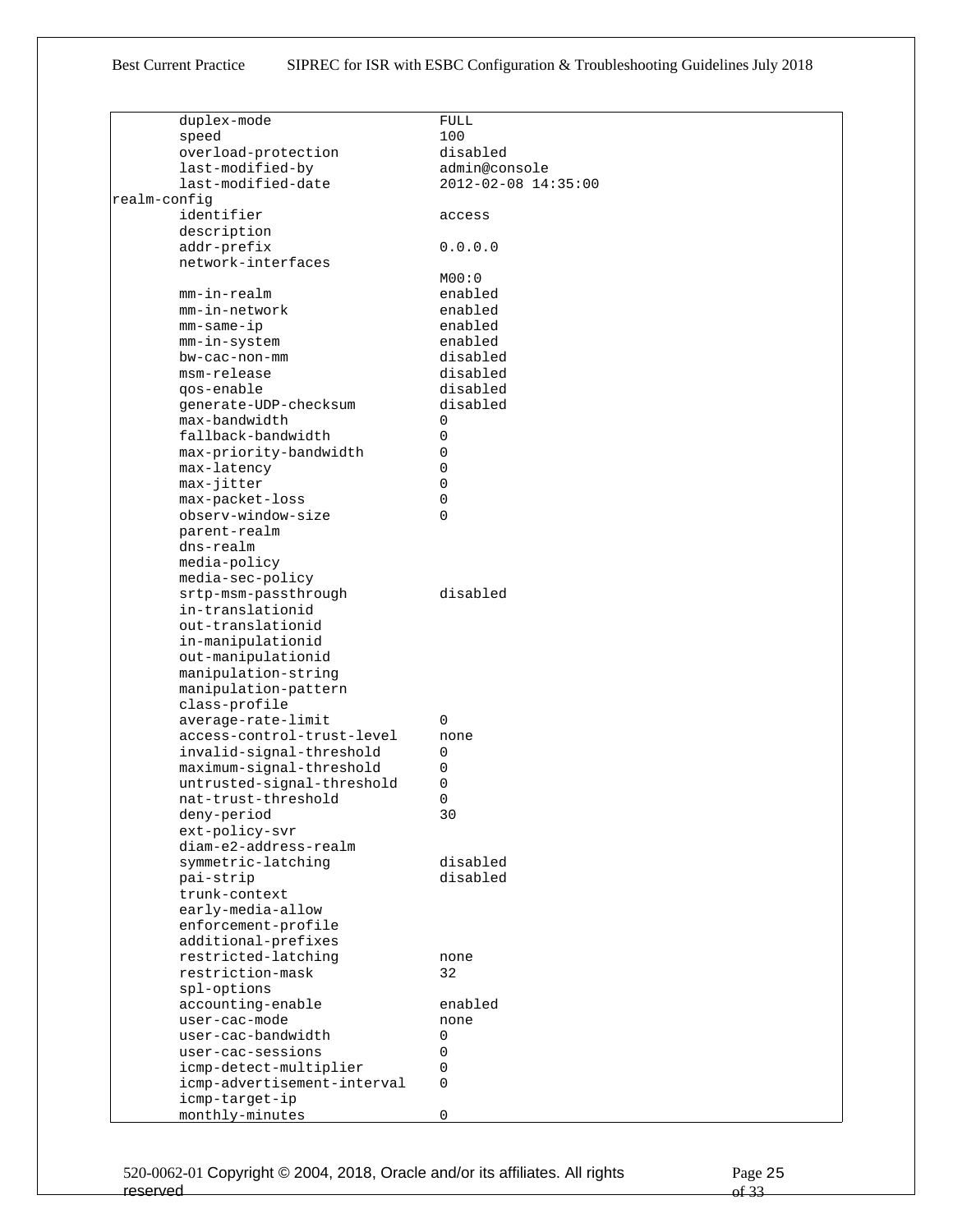|              | duplex-mode                 | FULL                |
|--------------|-----------------------------|---------------------|
|              | speed                       | 100                 |
|              | overload-protection         | disabled            |
|              | last-modified-by            | admin@console       |
|              | last-modified-date          | 2012-02-08 14:35:00 |
| realm-confiq |                             |                     |
|              |                             |                     |
|              | identifier                  | access              |
|              | description                 |                     |
|              | addr-prefix                 | 0.0.0.0             |
|              | network-interfaces          |                     |
|              |                             | MOO:O               |
|              | mm-in-realm                 | enabled             |
|              | mm-in-network               | enabled             |
|              | $mm$ -same-ip               | enabled             |
|              | mm-in-system                | enabled             |
|              | bw-cac-non-mm               | disabled            |
|              | msm-release                 | disabled            |
|              | qos-enable                  | disabled            |
|              | generate-UDP-checksum       | disabled            |
|              | max-bandwidth               |                     |
|              |                             | 0                   |
|              | fallback-bandwidth          | 0                   |
|              | max-priority-bandwidth      | 0                   |
|              | max-latency                 | 0                   |
|              | max-jitter                  | 0                   |
|              | max-packet-loss             | 0                   |
|              | observ-window-size          | 0                   |
|              | parent-realm                |                     |
|              | dns-realm                   |                     |
|              | media-policy                |                     |
|              | media-sec-policy            |                     |
|              | srtp-msm-passthrough        | disabled            |
|              | in-translationid            |                     |
|              | out-translationid           |                     |
|              | in-manipulationid           |                     |
|              |                             |                     |
|              | out-manipulationid          |                     |
|              | manipulation-string         |                     |
|              | manipulation-pattern        |                     |
|              | class-profile               |                     |
|              | average-rate-limit          | 0                   |
|              | access-control-trust-level  | none                |
|              | invalid-signal-threshold    | 0                   |
|              | maximum-signal-threshold    | 0                   |
|              | untrusted-signal-threshold  | 0                   |
|              | nat-trust-threshold         | $\Omega$            |
|              | deny-period                 | 30                  |
|              | ext-policy-svr              |                     |
|              | diam-e2-address-realm       |                     |
|              | symmetric-latching          | disabled            |
|              | pai-strip                   | disabled            |
|              | trunk-context               |                     |
|              | early-media-allow           |                     |
|              |                             |                     |
|              | enforcement-profile         |                     |
|              | additional-prefixes         |                     |
|              | restricted-latching         | none                |
|              | restriction-mask            | 32                  |
|              | spl-options                 |                     |
|              | accounting-enable           | enabled             |
|              | user-cac-mode               | none                |
|              | user-cac-bandwidth          | 0                   |
|              | user-cac-sessions           | 0                   |
|              | icmp-detect-multiplier      | 0                   |
|              | icmp-advertisement-interval | 0                   |
|              | icmp-target-ip              |                     |
|              | monthly-minutes             | 0                   |
|              |                             |                     |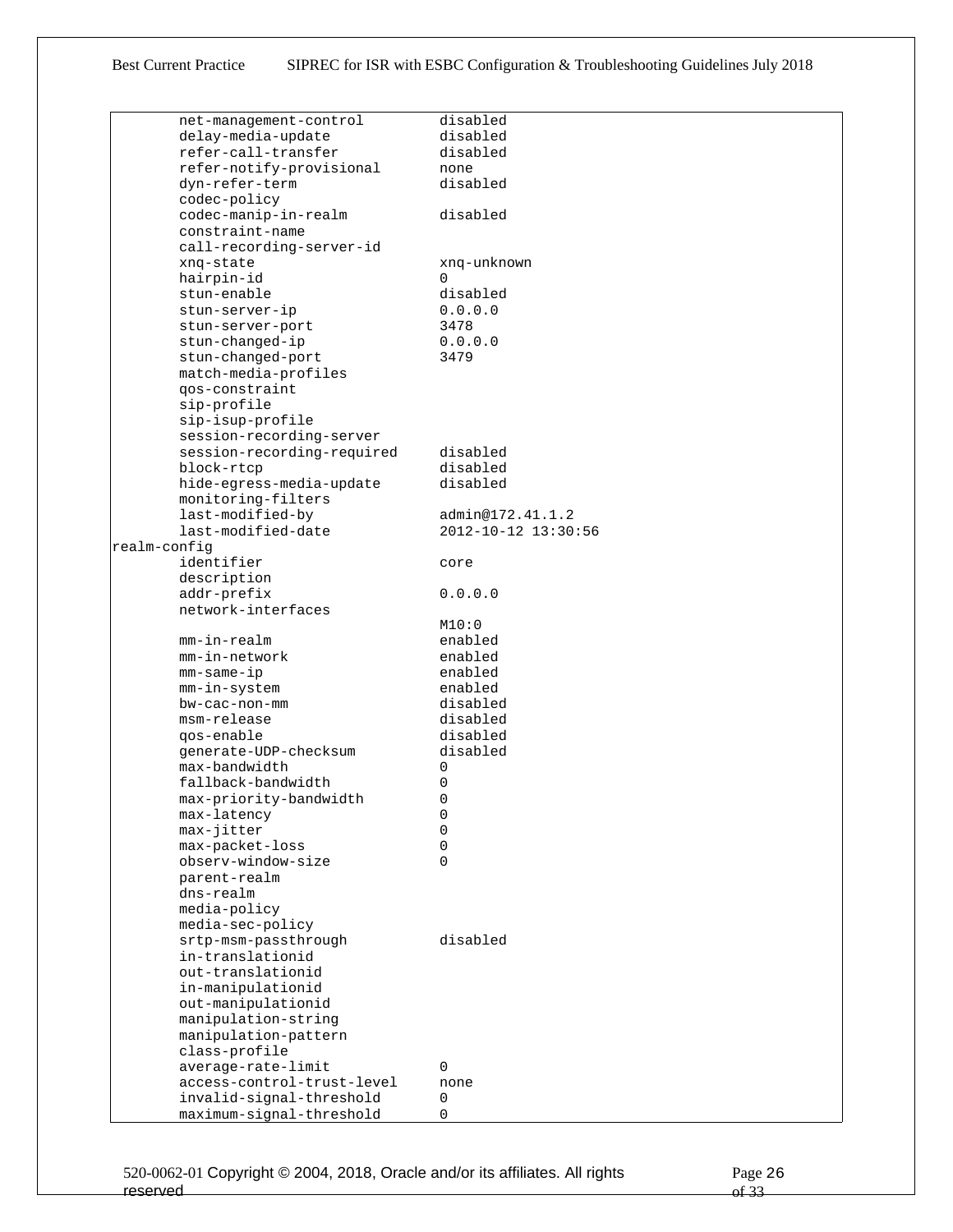| net-management-control |                            | disabled            |
|------------------------|----------------------------|---------------------|
| delay-media-update     |                            | disabled            |
| refer-call-transfer    |                            | disabled            |
|                        | refer-notify-provisional   | none                |
| dyn-refer-term         |                            | disabled            |
| codec-policy           |                            |                     |
| codec-manip-in-realm   |                            | disabled            |
| constraint-name        |                            |                     |
|                        | call-recording-server-id   |                     |
| xnq-state              |                            | xnq-unknown         |
| hairpin-id             |                            | 0                   |
| stun-enable            |                            | disabled            |
| stun-server-ip         |                            | 0.0.0.0             |
| stun-server-port       |                            | 3478                |
| stun-changed-ip        |                            | 0.0.0.0             |
| stun-changed-port      |                            | 3479                |
| match-media-profiles   |                            |                     |
| qos-constraint         |                            |                     |
| sip-profile            |                            |                     |
|                        |                            |                     |
| sip-isup-profile       |                            |                     |
|                        | session-recording-server   |                     |
|                        | session-recording-required | disabled            |
| block-rtcp             |                            | disabled            |
|                        | hide-egress-media-update   | disabled            |
| monitoring-filters     |                            |                     |
| last-modified-by       |                            | admin@172.41.1.2    |
| last-modified-date     |                            | 2012-10-12 13:30:56 |
| realm-config           |                            |                     |
| identifier             |                            | core                |
| description            |                            |                     |
| addr-prefix            |                            | 0.0.0.0             |
| network-interfaces     |                            |                     |
|                        |                            | M10:0               |
| mm-in-realm            |                            | enabled             |
| mm-in-network          |                            | enabled             |
| mm-same-ip             |                            | enabled             |
| mm-in-system           |                            | enabled             |
| bw-cac-non-mm          |                            | disabled            |
| msm-release            |                            | disabled            |
| qos-enable             |                            | disabled            |
| qenerate-UDP-checksum  |                            | disabled            |
| max-bandwidth          |                            | 0                   |
| fallback-bandwidth     |                            | 0                   |
| max-priority-bandwidth |                            | 0                   |
| max-latency            |                            | 0                   |
| max-jitter             |                            | 0                   |
| max-packet-loss        |                            | 0                   |
| observ-window-size     |                            | 0                   |
| parent-realm           |                            |                     |
| dns-realm              |                            |                     |
| media-policy           |                            |                     |
| media-sec-policy       |                            |                     |
| srtp-msm-passthrough   |                            | disabled            |
| in-translationid       |                            |                     |
| out-translationid      |                            |                     |
| in-manipulationid      |                            |                     |
| out-manipulationid     |                            |                     |
| manipulation-string    |                            |                     |
| manipulation-pattern   |                            |                     |
| class-profile          |                            |                     |
| average-rate-limit     |                            | 0                   |
|                        | access-control-trust-level | none                |
|                        | invalid-signal-threshold   | 0                   |
|                        | maximum-signal-threshold   | 0                   |
|                        |                            |                     |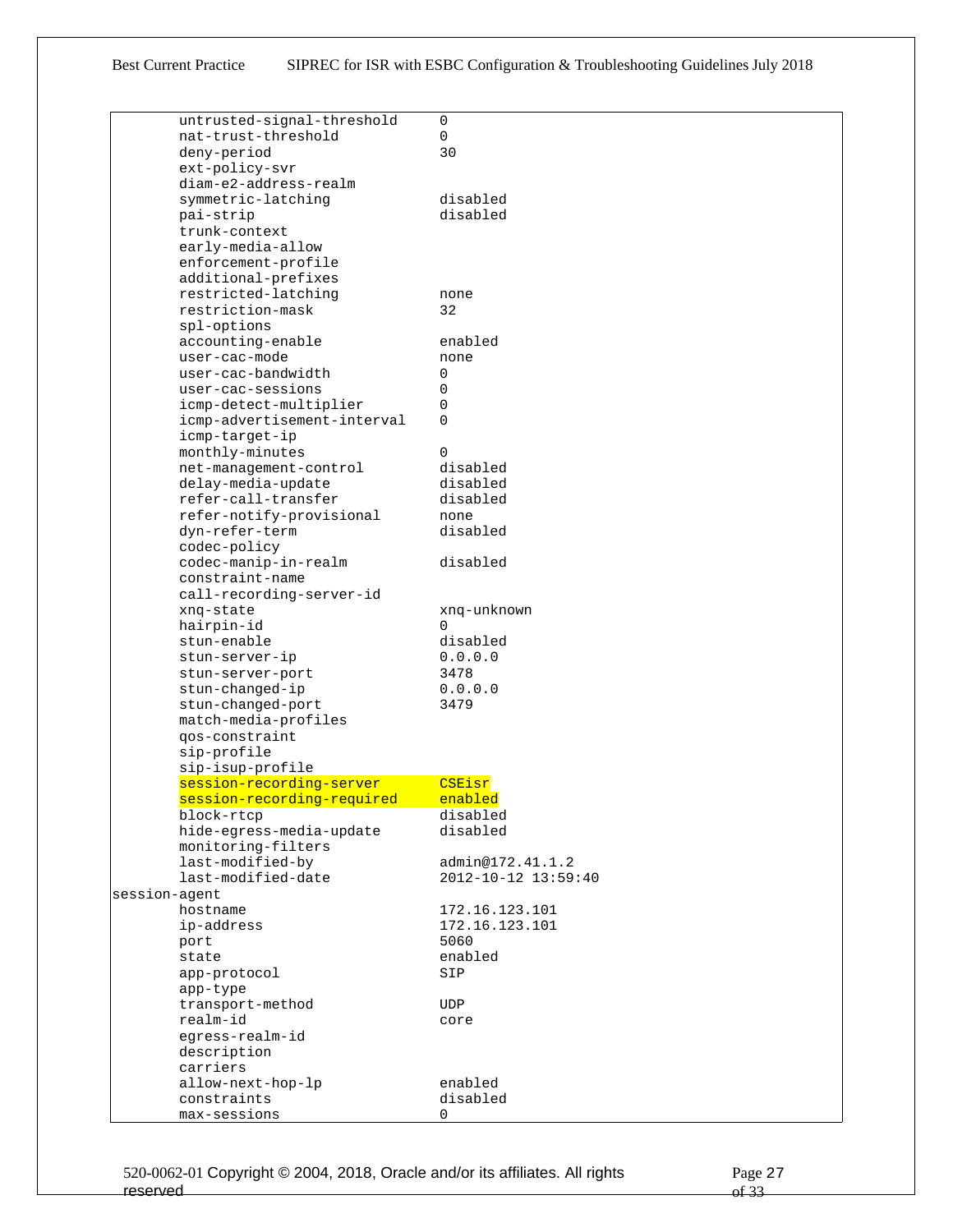| untrusted-signal-threshold  | 0                   |
|-----------------------------|---------------------|
| nat-trust-threshold         | $\mathsf{O}$        |
| deny-period                 | 30                  |
| ext-policy-svr              |                     |
| diam-e2-address-realm       |                     |
| symmetric-latching          | disabled            |
|                             | disabled            |
| pai-strip                   |                     |
| trunk-context               |                     |
| early-media-allow           |                     |
| enforcement-profile         |                     |
| additional-prefixes         |                     |
| restricted-latching         | none                |
| restriction-mask            | 32                  |
| spl-options                 |                     |
| accounting-enable           | enabled             |
| user-cac-mode               | none                |
| user-cac-bandwidth          | 0                   |
|                             |                     |
| user-cac-sessions           | 0                   |
| icmp-detect-multiplier      | 0                   |
| icmp-advertisement-interval | 0                   |
| icmp-target-ip              |                     |
| monthly-minutes             | $\Omega$            |
| net-management-control      | disabled            |
| delay-media-update          | disabled            |
| refer-call-transfer         | disabled            |
| refer-notify-provisional    | none                |
| dyn-refer-term              | disabled            |
|                             |                     |
| codec-policy                |                     |
| codec-manip-in-realm        | disabled            |
| constraint-name             |                     |
| call-recording-server-id    |                     |
| xnq-state                   | xnq-unknown         |
| hairpin-id                  | $\Omega$            |
| stun-enable                 | disabled            |
| stun-server-ip              | 0.0.0.0             |
| stun-server-port            | 3478                |
| stun-changed-ip             | 0.0.0.0             |
| stun-changed-port           | 3479                |
|                             |                     |
| match-media-profiles        |                     |
| qos-constraint              |                     |
| sip-profile                 |                     |
| sip-isup-profile            |                     |
| session-recording-server    | CSEisr              |
| session-recording-required  | enabled             |
| block-rtcp                  | disabled            |
| hide-egress-media-update    | disabled            |
| monitoring-filters          |                     |
| last-modified-by            | admin@172.41.1.2    |
| last-modified-date          | 2012-10-12 13:59:40 |
|                             |                     |
| session-agent               |                     |
| hostname                    | 172.16.123.101      |
| ip-address                  | 172.16.123.101      |
| port                        | 5060                |
| state                       | enabled             |
| app-protocol                | SIP                 |
| app-type                    |                     |
| transport-method            | <b>UDP</b>          |
| realm-id                    | core                |
| eqress-realm-id             |                     |
| description                 |                     |
| carriers                    |                     |
|                             |                     |
| allow-next-hop-lp           | enabled             |
| constraints                 | disabled            |
| max-sessions                | 0                   |

520-0062-01 Copyright © 2004, 2018, Oracle and/or its affiliates. All rights reserved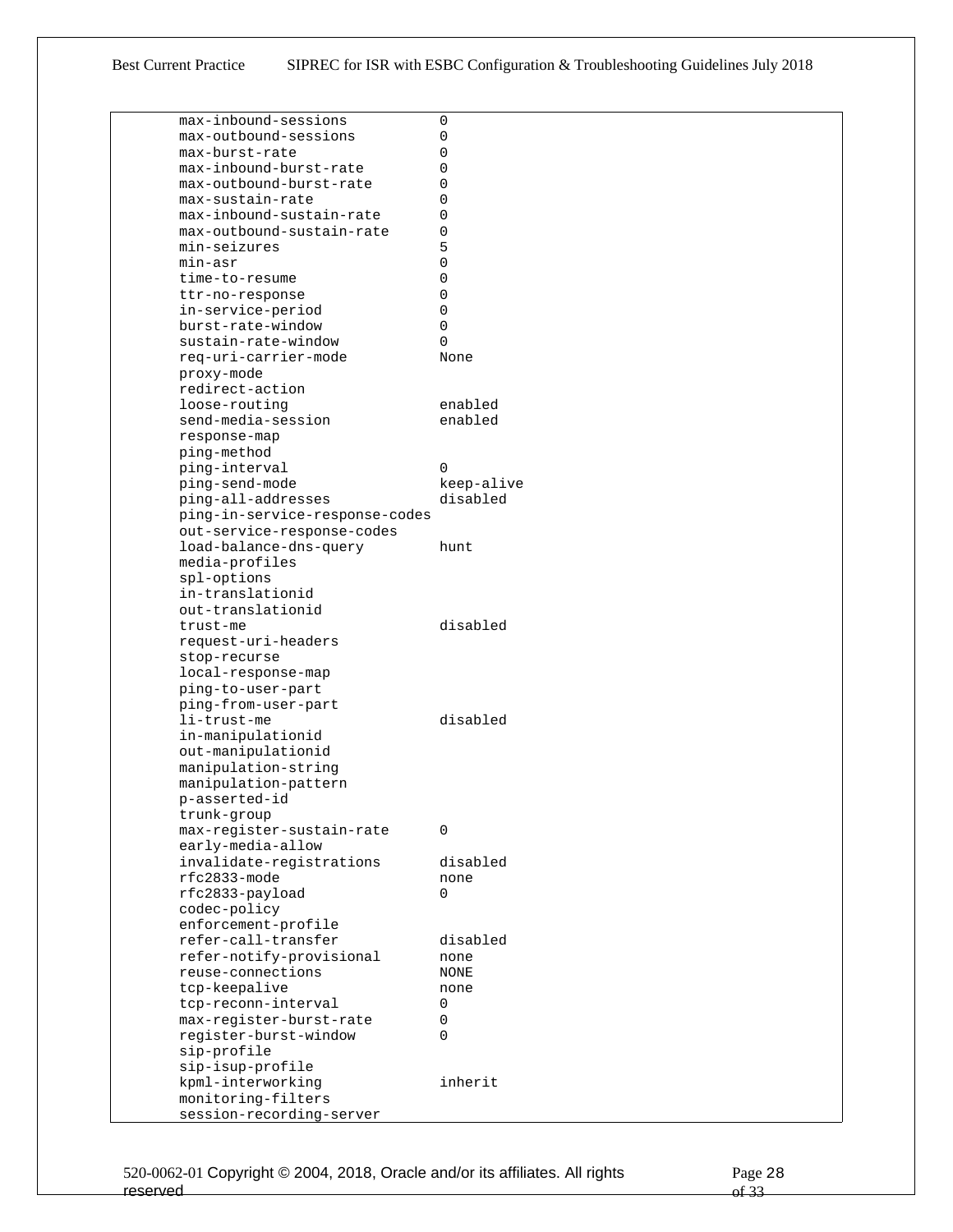| max-inbound-sessions                           | 0          |
|------------------------------------------------|------------|
| max-outbound-sessions                          | 0          |
| max-burst-rate                                 | 0          |
| max-inbound-burst-rate                         | 0          |
| max-outbound-burst-rate                        | 0          |
| max-sustain-rate                               | 0          |
| max-inbound-sustain-rate                       | 0          |
| max-outbound-sustain-rate                      | 0          |
| min-seizures                                   | 5          |
| min-asr                                        | 0          |
| time-to-resume                                 | 0          |
| ttr-no-response                                | 0          |
|                                                | 0          |
| in-service-period                              |            |
| burst-rate-window                              | 0          |
| sustain-rate-window                            | 0          |
| req-uri-carrier-mode                           | None       |
| proxy-mode                                     |            |
| redirect-action                                |            |
| loose-routing                                  | enabled    |
| send-media-session                             | enabled    |
| response-map                                   |            |
| ping-method                                    |            |
| ping-interval                                  | 0          |
| ping-send-mode                                 | keep-alive |
| ping-all-addresses                             | disabled   |
| ping-in-service-response-codes                 |            |
| out-service-response-codes                     |            |
| load-balance-dns-query                         | hunt.      |
| media-profiles                                 |            |
| spl-options                                    |            |
| in-translationid                               |            |
| out-translationid                              |            |
| trust-me                                       | disabled   |
| request-uri-headers                            |            |
| stop-recurse                                   |            |
| local-response-map                             |            |
| ping-to-user-part                              |            |
| ping-from-user-part                            |            |
| li-trust-me                                    | disabled   |
| in-manipulationid                              |            |
| out-manipulationid                             |            |
| manipulation-string                            |            |
| manipulation-pattern                           |            |
| p-asserted-id                                  |            |
|                                                |            |
| trunk-group                                    |            |
| max-register-sustain-rate<br>early-media-allow | 0          |
|                                                |            |
| invalidate-registrations                       | disabled   |
| rfc2833-mode                                   | none       |
| rfc2833-payload                                | 0          |
| codec-policy                                   |            |
| enforcement-profile                            |            |
| refer-call-transfer                            | disabled   |
| refer-notify-provisional                       | none       |
| reuse-connections                              | NONE       |
| tcp-keepalive                                  | none       |
| tcp-reconn-interval                            | 0          |
| max-register-burst-rate                        | 0          |
| register-burst-window                          | 0          |
| sip-profile                                    |            |
| sip-isup-profile                               |            |
| kpml-interworking                              | inherit    |
| monitoring-filters                             |            |
| session-recording-server                       |            |
|                                                |            |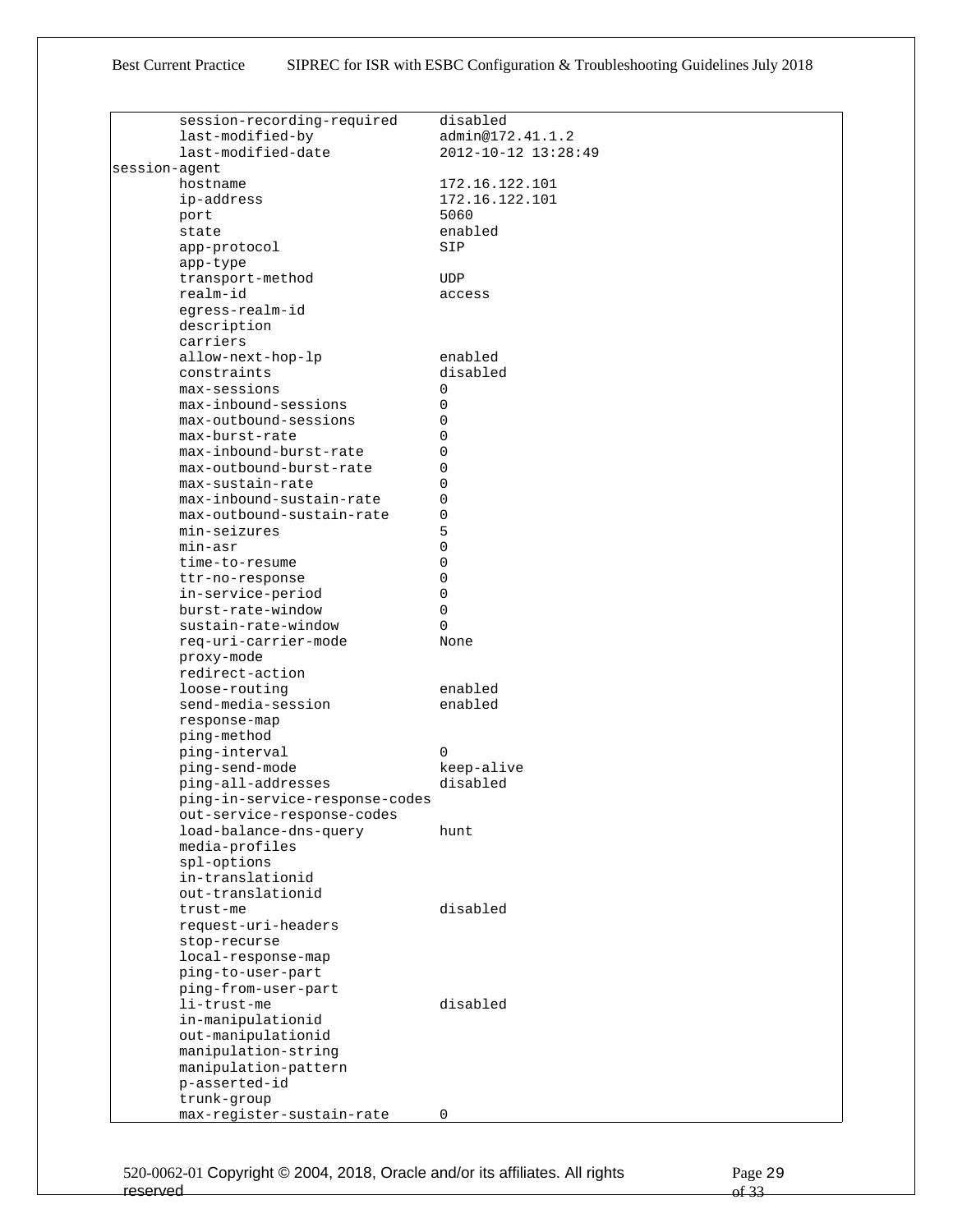|               | session-recording-required                                   | disabled            |
|---------------|--------------------------------------------------------------|---------------------|
|               | last-modified-by                                             | admin@172.41.1.2    |
|               | last-modified-date                                           | 2012-10-12 13:28:49 |
| session-agent |                                                              |                     |
|               | hostname                                                     | 172.16.122.101      |
|               | ip-address                                                   | 172.16.122.101      |
|               | port                                                         | 5060                |
|               | state                                                        | enabled             |
|               | app-protocol                                                 | SIP                 |
|               | app-type                                                     |                     |
|               | transport-method                                             | <b>UDP</b>          |
|               | realm-id                                                     | access              |
|               | egress-realm-id                                              |                     |
|               | description                                                  |                     |
|               | carriers                                                     |                     |
|               | allow-next-hop-lp                                            | enabled             |
|               | constraints                                                  | disabled            |
|               | max-sessions                                                 | 0                   |
|               | max-inbound-sessions                                         | 0                   |
|               | max-outbound-sessions                                        | 0                   |
|               | max-burst-rate                                               | 0                   |
|               | max-inbound-burst-rate                                       | 0                   |
|               | max-outbound-burst-rate                                      | 0                   |
|               | max-sustain-rate                                             | 0                   |
|               | max-inbound-sustain-rate                                     | 0                   |
|               | max-outbound-sustain-rate                                    | 0                   |
|               | min-seizures                                                 | 5                   |
|               | min-asr                                                      | 0                   |
|               | time-to-resume                                               | 0                   |
|               | ttr-no-response                                              | 0                   |
|               | in-service-period                                            | 0                   |
|               | burst-rate-window                                            | 0                   |
|               | sustain-rate-window                                          | $\Omega$            |
|               | req-uri-carrier-mode                                         | None                |
|               | proxy-mode                                                   |                     |
|               | redirect-action                                              |                     |
|               | loose-routing                                                | enabled             |
|               | send-media-session                                           | enabled             |
|               | response-map                                                 |                     |
|               | ping-method                                                  |                     |
|               | ping-interval                                                | $\Omega$            |
|               | ping-send-mode                                               | keep-alive          |
|               | ping-all-addresses                                           | disabled            |
|               | ping-in-service-response-codes<br>out-service-response-codes |                     |
|               | load-balance-dns-query                                       | hunt                |
|               | media-profiles                                               |                     |
|               | spl-options                                                  |                     |
|               | in-translationid                                             |                     |
|               | out-translationid                                            |                     |
|               | trust-me                                                     | disabled            |
|               | request-uri-headers                                          |                     |
|               | stop-recurse                                                 |                     |
|               | local-response-map                                           |                     |
|               | ping-to-user-part                                            |                     |
|               | ping-from-user-part                                          |                     |
|               | li-trust-me                                                  | disabled            |
|               | in-manipulationid                                            |                     |
|               | out-manipulationid                                           |                     |
|               | manipulation-string                                          |                     |
|               | manipulation-pattern                                         |                     |
|               | p-asserted-id                                                |                     |
|               | trunk-group                                                  |                     |
|               | max-register-sustain-rate                                    | 0                   |
|               |                                                              |                     |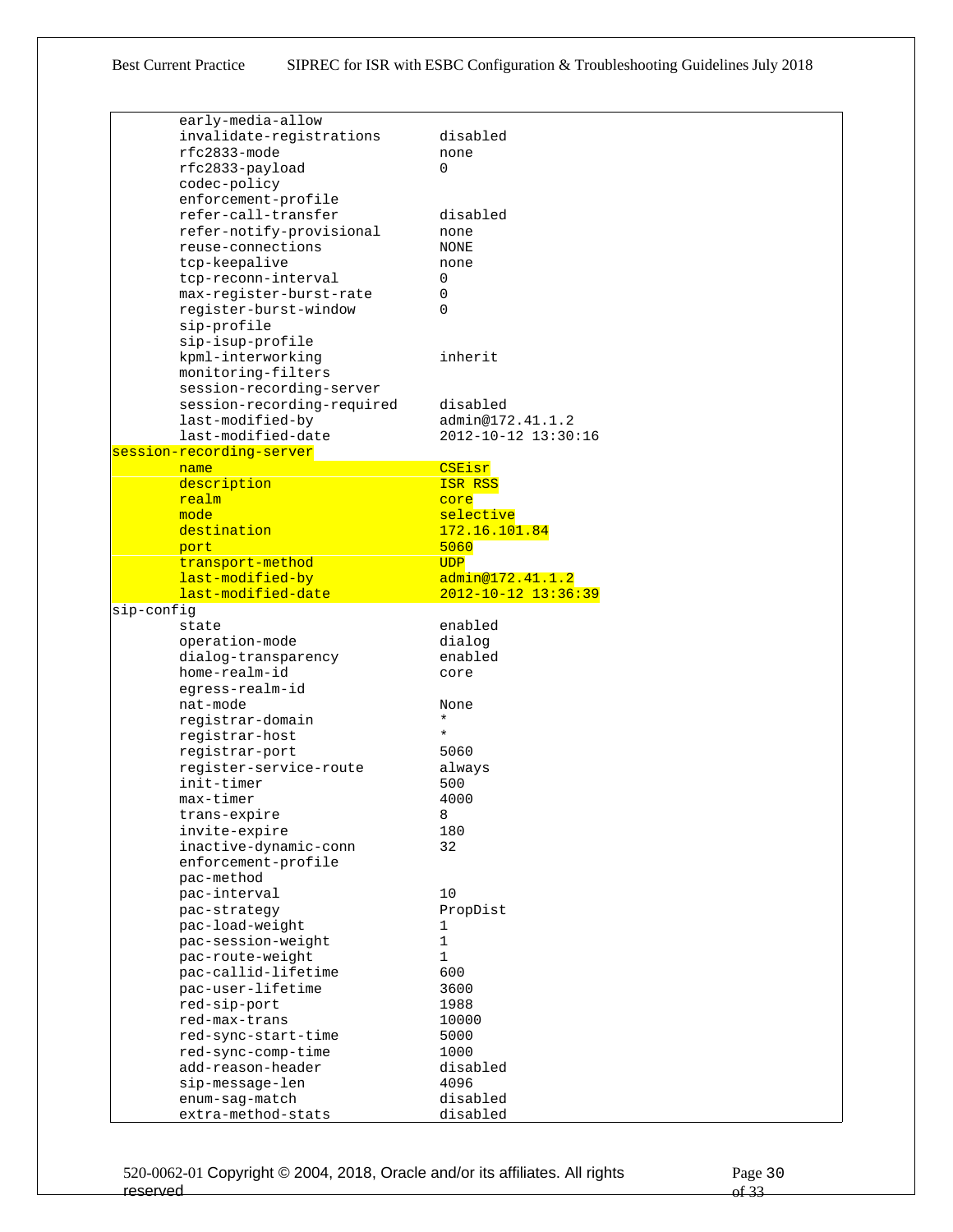| early-media-allow<br>invalidate-registrations<br>disabled<br>rfc2833-mode<br>none<br>rfc2833-payload<br>$\Omega$<br>codec-policy<br>enforcement-profile<br>refer-call-transfer<br>disabled<br>refer-notify-provisional<br>none<br>reuse-connections<br>NONE<br>tcp-keepalive<br>none<br>tcp-reconn-interval<br>0<br>max-register-burst-rate<br>0<br>register-burst-window<br>0<br>sip-profile<br>sip-isup-profile<br>kpml-interworking<br>inherit<br>monitoring-filters<br>session-recording-server<br>session-recording-required<br>disabled<br>last-modified-by<br>admin@172.41.1.2<br>last-modified-date<br>2012-10-12 13:30:16<br>session-recording-server<br>CSEisr<br>name<br>description<br>ISR RSS<br>realm<br>core<br>mode<br>selective<br>destination<br>172.16.101.84<br>5060<br>port<br>transport-method<br><b>UDP</b><br>last-modified-by<br>admin@172.41.1.2<br>last-modified-date<br>$2012 - 10 - 12$ $13:36:39$<br>sip-config<br>enabled<br>state<br>operation-mode<br>dialog<br>dialog-transparency<br>enabled<br>home-realm-id<br>core<br>eqress-realm-id<br>nat-mode<br>None<br>$\star$<br>registrar-domain<br>$\star$<br>registrar-host<br>registrar-port<br>5060<br>register-service-route<br>always<br>init-timer<br>500<br>4000<br>max-timer<br>trans-expire<br>8<br>invite-expire<br>180<br>32<br>inactive-dynamic-conn<br>enforcement-profile<br>pac-method<br>pac-interval<br>10<br>pac-strategy<br>PropDist<br>pac-load-weight<br>1<br>pac-session-weight<br>1<br>$\mathbf 1$<br>pac-route-weight<br>pac-callid-lifetime<br>600<br>pac-user-lifetime<br>3600<br>1988<br>red-sip-port<br>red-max-trans<br>10000<br>red-sync-start-time<br>5000<br>1000<br>red-sync-comp-time<br>add-reason-header<br>disabled<br>4096<br>sip-message-len<br>enum-saq-match<br>disabled<br>extra-method-stats<br>disabled |  |  |
|------------------------------------------------------------------------------------------------------------------------------------------------------------------------------------------------------------------------------------------------------------------------------------------------------------------------------------------------------------------------------------------------------------------------------------------------------------------------------------------------------------------------------------------------------------------------------------------------------------------------------------------------------------------------------------------------------------------------------------------------------------------------------------------------------------------------------------------------------------------------------------------------------------------------------------------------------------------------------------------------------------------------------------------------------------------------------------------------------------------------------------------------------------------------------------------------------------------------------------------------------------------------------------------------------------------------------------------------------------------------------------------------------------------------------------------------------------------------------------------------------------------------------------------------------------------------------------------------------------------------------------------------------------------------------------------------------------------------------------------------------------------------------------------------------------------------------------|--|--|
|                                                                                                                                                                                                                                                                                                                                                                                                                                                                                                                                                                                                                                                                                                                                                                                                                                                                                                                                                                                                                                                                                                                                                                                                                                                                                                                                                                                                                                                                                                                                                                                                                                                                                                                                                                                                                                    |  |  |
|                                                                                                                                                                                                                                                                                                                                                                                                                                                                                                                                                                                                                                                                                                                                                                                                                                                                                                                                                                                                                                                                                                                                                                                                                                                                                                                                                                                                                                                                                                                                                                                                                                                                                                                                                                                                                                    |  |  |
|                                                                                                                                                                                                                                                                                                                                                                                                                                                                                                                                                                                                                                                                                                                                                                                                                                                                                                                                                                                                                                                                                                                                                                                                                                                                                                                                                                                                                                                                                                                                                                                                                                                                                                                                                                                                                                    |  |  |
|                                                                                                                                                                                                                                                                                                                                                                                                                                                                                                                                                                                                                                                                                                                                                                                                                                                                                                                                                                                                                                                                                                                                                                                                                                                                                                                                                                                                                                                                                                                                                                                                                                                                                                                                                                                                                                    |  |  |
|                                                                                                                                                                                                                                                                                                                                                                                                                                                                                                                                                                                                                                                                                                                                                                                                                                                                                                                                                                                                                                                                                                                                                                                                                                                                                                                                                                                                                                                                                                                                                                                                                                                                                                                                                                                                                                    |  |  |
|                                                                                                                                                                                                                                                                                                                                                                                                                                                                                                                                                                                                                                                                                                                                                                                                                                                                                                                                                                                                                                                                                                                                                                                                                                                                                                                                                                                                                                                                                                                                                                                                                                                                                                                                                                                                                                    |  |  |
|                                                                                                                                                                                                                                                                                                                                                                                                                                                                                                                                                                                                                                                                                                                                                                                                                                                                                                                                                                                                                                                                                                                                                                                                                                                                                                                                                                                                                                                                                                                                                                                                                                                                                                                                                                                                                                    |  |  |
|                                                                                                                                                                                                                                                                                                                                                                                                                                                                                                                                                                                                                                                                                                                                                                                                                                                                                                                                                                                                                                                                                                                                                                                                                                                                                                                                                                                                                                                                                                                                                                                                                                                                                                                                                                                                                                    |  |  |
|                                                                                                                                                                                                                                                                                                                                                                                                                                                                                                                                                                                                                                                                                                                                                                                                                                                                                                                                                                                                                                                                                                                                                                                                                                                                                                                                                                                                                                                                                                                                                                                                                                                                                                                                                                                                                                    |  |  |
|                                                                                                                                                                                                                                                                                                                                                                                                                                                                                                                                                                                                                                                                                                                                                                                                                                                                                                                                                                                                                                                                                                                                                                                                                                                                                                                                                                                                                                                                                                                                                                                                                                                                                                                                                                                                                                    |  |  |
|                                                                                                                                                                                                                                                                                                                                                                                                                                                                                                                                                                                                                                                                                                                                                                                                                                                                                                                                                                                                                                                                                                                                                                                                                                                                                                                                                                                                                                                                                                                                                                                                                                                                                                                                                                                                                                    |  |  |
|                                                                                                                                                                                                                                                                                                                                                                                                                                                                                                                                                                                                                                                                                                                                                                                                                                                                                                                                                                                                                                                                                                                                                                                                                                                                                                                                                                                                                                                                                                                                                                                                                                                                                                                                                                                                                                    |  |  |
|                                                                                                                                                                                                                                                                                                                                                                                                                                                                                                                                                                                                                                                                                                                                                                                                                                                                                                                                                                                                                                                                                                                                                                                                                                                                                                                                                                                                                                                                                                                                                                                                                                                                                                                                                                                                                                    |  |  |
|                                                                                                                                                                                                                                                                                                                                                                                                                                                                                                                                                                                                                                                                                                                                                                                                                                                                                                                                                                                                                                                                                                                                                                                                                                                                                                                                                                                                                                                                                                                                                                                                                                                                                                                                                                                                                                    |  |  |
|                                                                                                                                                                                                                                                                                                                                                                                                                                                                                                                                                                                                                                                                                                                                                                                                                                                                                                                                                                                                                                                                                                                                                                                                                                                                                                                                                                                                                                                                                                                                                                                                                                                                                                                                                                                                                                    |  |  |
|                                                                                                                                                                                                                                                                                                                                                                                                                                                                                                                                                                                                                                                                                                                                                                                                                                                                                                                                                                                                                                                                                                                                                                                                                                                                                                                                                                                                                                                                                                                                                                                                                                                                                                                                                                                                                                    |  |  |
|                                                                                                                                                                                                                                                                                                                                                                                                                                                                                                                                                                                                                                                                                                                                                                                                                                                                                                                                                                                                                                                                                                                                                                                                                                                                                                                                                                                                                                                                                                                                                                                                                                                                                                                                                                                                                                    |  |  |
|                                                                                                                                                                                                                                                                                                                                                                                                                                                                                                                                                                                                                                                                                                                                                                                                                                                                                                                                                                                                                                                                                                                                                                                                                                                                                                                                                                                                                                                                                                                                                                                                                                                                                                                                                                                                                                    |  |  |
|                                                                                                                                                                                                                                                                                                                                                                                                                                                                                                                                                                                                                                                                                                                                                                                                                                                                                                                                                                                                                                                                                                                                                                                                                                                                                                                                                                                                                                                                                                                                                                                                                                                                                                                                                                                                                                    |  |  |
|                                                                                                                                                                                                                                                                                                                                                                                                                                                                                                                                                                                                                                                                                                                                                                                                                                                                                                                                                                                                                                                                                                                                                                                                                                                                                                                                                                                                                                                                                                                                                                                                                                                                                                                                                                                                                                    |  |  |
|                                                                                                                                                                                                                                                                                                                                                                                                                                                                                                                                                                                                                                                                                                                                                                                                                                                                                                                                                                                                                                                                                                                                                                                                                                                                                                                                                                                                                                                                                                                                                                                                                                                                                                                                                                                                                                    |  |  |
|                                                                                                                                                                                                                                                                                                                                                                                                                                                                                                                                                                                                                                                                                                                                                                                                                                                                                                                                                                                                                                                                                                                                                                                                                                                                                                                                                                                                                                                                                                                                                                                                                                                                                                                                                                                                                                    |  |  |
|                                                                                                                                                                                                                                                                                                                                                                                                                                                                                                                                                                                                                                                                                                                                                                                                                                                                                                                                                                                                                                                                                                                                                                                                                                                                                                                                                                                                                                                                                                                                                                                                                                                                                                                                                                                                                                    |  |  |
|                                                                                                                                                                                                                                                                                                                                                                                                                                                                                                                                                                                                                                                                                                                                                                                                                                                                                                                                                                                                                                                                                                                                                                                                                                                                                                                                                                                                                                                                                                                                                                                                                                                                                                                                                                                                                                    |  |  |
|                                                                                                                                                                                                                                                                                                                                                                                                                                                                                                                                                                                                                                                                                                                                                                                                                                                                                                                                                                                                                                                                                                                                                                                                                                                                                                                                                                                                                                                                                                                                                                                                                                                                                                                                                                                                                                    |  |  |
|                                                                                                                                                                                                                                                                                                                                                                                                                                                                                                                                                                                                                                                                                                                                                                                                                                                                                                                                                                                                                                                                                                                                                                                                                                                                                                                                                                                                                                                                                                                                                                                                                                                                                                                                                                                                                                    |  |  |
|                                                                                                                                                                                                                                                                                                                                                                                                                                                                                                                                                                                                                                                                                                                                                                                                                                                                                                                                                                                                                                                                                                                                                                                                                                                                                                                                                                                                                                                                                                                                                                                                                                                                                                                                                                                                                                    |  |  |
|                                                                                                                                                                                                                                                                                                                                                                                                                                                                                                                                                                                                                                                                                                                                                                                                                                                                                                                                                                                                                                                                                                                                                                                                                                                                                                                                                                                                                                                                                                                                                                                                                                                                                                                                                                                                                                    |  |  |
|                                                                                                                                                                                                                                                                                                                                                                                                                                                                                                                                                                                                                                                                                                                                                                                                                                                                                                                                                                                                                                                                                                                                                                                                                                                                                                                                                                                                                                                                                                                                                                                                                                                                                                                                                                                                                                    |  |  |
|                                                                                                                                                                                                                                                                                                                                                                                                                                                                                                                                                                                                                                                                                                                                                                                                                                                                                                                                                                                                                                                                                                                                                                                                                                                                                                                                                                                                                                                                                                                                                                                                                                                                                                                                                                                                                                    |  |  |
|                                                                                                                                                                                                                                                                                                                                                                                                                                                                                                                                                                                                                                                                                                                                                                                                                                                                                                                                                                                                                                                                                                                                                                                                                                                                                                                                                                                                                                                                                                                                                                                                                                                                                                                                                                                                                                    |  |  |
|                                                                                                                                                                                                                                                                                                                                                                                                                                                                                                                                                                                                                                                                                                                                                                                                                                                                                                                                                                                                                                                                                                                                                                                                                                                                                                                                                                                                                                                                                                                                                                                                                                                                                                                                                                                                                                    |  |  |
|                                                                                                                                                                                                                                                                                                                                                                                                                                                                                                                                                                                                                                                                                                                                                                                                                                                                                                                                                                                                                                                                                                                                                                                                                                                                                                                                                                                                                                                                                                                                                                                                                                                                                                                                                                                                                                    |  |  |
|                                                                                                                                                                                                                                                                                                                                                                                                                                                                                                                                                                                                                                                                                                                                                                                                                                                                                                                                                                                                                                                                                                                                                                                                                                                                                                                                                                                                                                                                                                                                                                                                                                                                                                                                                                                                                                    |  |  |
|                                                                                                                                                                                                                                                                                                                                                                                                                                                                                                                                                                                                                                                                                                                                                                                                                                                                                                                                                                                                                                                                                                                                                                                                                                                                                                                                                                                                                                                                                                                                                                                                                                                                                                                                                                                                                                    |  |  |
|                                                                                                                                                                                                                                                                                                                                                                                                                                                                                                                                                                                                                                                                                                                                                                                                                                                                                                                                                                                                                                                                                                                                                                                                                                                                                                                                                                                                                                                                                                                                                                                                                                                                                                                                                                                                                                    |  |  |
|                                                                                                                                                                                                                                                                                                                                                                                                                                                                                                                                                                                                                                                                                                                                                                                                                                                                                                                                                                                                                                                                                                                                                                                                                                                                                                                                                                                                                                                                                                                                                                                                                                                                                                                                                                                                                                    |  |  |
|                                                                                                                                                                                                                                                                                                                                                                                                                                                                                                                                                                                                                                                                                                                                                                                                                                                                                                                                                                                                                                                                                                                                                                                                                                                                                                                                                                                                                                                                                                                                                                                                                                                                                                                                                                                                                                    |  |  |
|                                                                                                                                                                                                                                                                                                                                                                                                                                                                                                                                                                                                                                                                                                                                                                                                                                                                                                                                                                                                                                                                                                                                                                                                                                                                                                                                                                                                                                                                                                                                                                                                                                                                                                                                                                                                                                    |  |  |
|                                                                                                                                                                                                                                                                                                                                                                                                                                                                                                                                                                                                                                                                                                                                                                                                                                                                                                                                                                                                                                                                                                                                                                                                                                                                                                                                                                                                                                                                                                                                                                                                                                                                                                                                                                                                                                    |  |  |
|                                                                                                                                                                                                                                                                                                                                                                                                                                                                                                                                                                                                                                                                                                                                                                                                                                                                                                                                                                                                                                                                                                                                                                                                                                                                                                                                                                                                                                                                                                                                                                                                                                                                                                                                                                                                                                    |  |  |
|                                                                                                                                                                                                                                                                                                                                                                                                                                                                                                                                                                                                                                                                                                                                                                                                                                                                                                                                                                                                                                                                                                                                                                                                                                                                                                                                                                                                                                                                                                                                                                                                                                                                                                                                                                                                                                    |  |  |
|                                                                                                                                                                                                                                                                                                                                                                                                                                                                                                                                                                                                                                                                                                                                                                                                                                                                                                                                                                                                                                                                                                                                                                                                                                                                                                                                                                                                                                                                                                                                                                                                                                                                                                                                                                                                                                    |  |  |
|                                                                                                                                                                                                                                                                                                                                                                                                                                                                                                                                                                                                                                                                                                                                                                                                                                                                                                                                                                                                                                                                                                                                                                                                                                                                                                                                                                                                                                                                                                                                                                                                                                                                                                                                                                                                                                    |  |  |
|                                                                                                                                                                                                                                                                                                                                                                                                                                                                                                                                                                                                                                                                                                                                                                                                                                                                                                                                                                                                                                                                                                                                                                                                                                                                                                                                                                                                                                                                                                                                                                                                                                                                                                                                                                                                                                    |  |  |
|                                                                                                                                                                                                                                                                                                                                                                                                                                                                                                                                                                                                                                                                                                                                                                                                                                                                                                                                                                                                                                                                                                                                                                                                                                                                                                                                                                                                                                                                                                                                                                                                                                                                                                                                                                                                                                    |  |  |
|                                                                                                                                                                                                                                                                                                                                                                                                                                                                                                                                                                                                                                                                                                                                                                                                                                                                                                                                                                                                                                                                                                                                                                                                                                                                                                                                                                                                                                                                                                                                                                                                                                                                                                                                                                                                                                    |  |  |
|                                                                                                                                                                                                                                                                                                                                                                                                                                                                                                                                                                                                                                                                                                                                                                                                                                                                                                                                                                                                                                                                                                                                                                                                                                                                                                                                                                                                                                                                                                                                                                                                                                                                                                                                                                                                                                    |  |  |
|                                                                                                                                                                                                                                                                                                                                                                                                                                                                                                                                                                                                                                                                                                                                                                                                                                                                                                                                                                                                                                                                                                                                                                                                                                                                                                                                                                                                                                                                                                                                                                                                                                                                                                                                                                                                                                    |  |  |
|                                                                                                                                                                                                                                                                                                                                                                                                                                                                                                                                                                                                                                                                                                                                                                                                                                                                                                                                                                                                                                                                                                                                                                                                                                                                                                                                                                                                                                                                                                                                                                                                                                                                                                                                                                                                                                    |  |  |
|                                                                                                                                                                                                                                                                                                                                                                                                                                                                                                                                                                                                                                                                                                                                                                                                                                                                                                                                                                                                                                                                                                                                                                                                                                                                                                                                                                                                                                                                                                                                                                                                                                                                                                                                                                                                                                    |  |  |
|                                                                                                                                                                                                                                                                                                                                                                                                                                                                                                                                                                                                                                                                                                                                                                                                                                                                                                                                                                                                                                                                                                                                                                                                                                                                                                                                                                                                                                                                                                                                                                                                                                                                                                                                                                                                                                    |  |  |
|                                                                                                                                                                                                                                                                                                                                                                                                                                                                                                                                                                                                                                                                                                                                                                                                                                                                                                                                                                                                                                                                                                                                                                                                                                                                                                                                                                                                                                                                                                                                                                                                                                                                                                                                                                                                                                    |  |  |
|                                                                                                                                                                                                                                                                                                                                                                                                                                                                                                                                                                                                                                                                                                                                                                                                                                                                                                                                                                                                                                                                                                                                                                                                                                                                                                                                                                                                                                                                                                                                                                                                                                                                                                                                                                                                                                    |  |  |
|                                                                                                                                                                                                                                                                                                                                                                                                                                                                                                                                                                                                                                                                                                                                                                                                                                                                                                                                                                                                                                                                                                                                                                                                                                                                                                                                                                                                                                                                                                                                                                                                                                                                                                                                                                                                                                    |  |  |
|                                                                                                                                                                                                                                                                                                                                                                                                                                                                                                                                                                                                                                                                                                                                                                                                                                                                                                                                                                                                                                                                                                                                                                                                                                                                                                                                                                                                                                                                                                                                                                                                                                                                                                                                                                                                                                    |  |  |
|                                                                                                                                                                                                                                                                                                                                                                                                                                                                                                                                                                                                                                                                                                                                                                                                                                                                                                                                                                                                                                                                                                                                                                                                                                                                                                                                                                                                                                                                                                                                                                                                                                                                                                                                                                                                                                    |  |  |
|                                                                                                                                                                                                                                                                                                                                                                                                                                                                                                                                                                                                                                                                                                                                                                                                                                                                                                                                                                                                                                                                                                                                                                                                                                                                                                                                                                                                                                                                                                                                                                                                                                                                                                                                                                                                                                    |  |  |
|                                                                                                                                                                                                                                                                                                                                                                                                                                                                                                                                                                                                                                                                                                                                                                                                                                                                                                                                                                                                                                                                                                                                                                                                                                                                                                                                                                                                                                                                                                                                                                                                                                                                                                                                                                                                                                    |  |  |
|                                                                                                                                                                                                                                                                                                                                                                                                                                                                                                                                                                                                                                                                                                                                                                                                                                                                                                                                                                                                                                                                                                                                                                                                                                                                                                                                                                                                                                                                                                                                                                                                                                                                                                                                                                                                                                    |  |  |
|                                                                                                                                                                                                                                                                                                                                                                                                                                                                                                                                                                                                                                                                                                                                                                                                                                                                                                                                                                                                                                                                                                                                                                                                                                                                                                                                                                                                                                                                                                                                                                                                                                                                                                                                                                                                                                    |  |  |
|                                                                                                                                                                                                                                                                                                                                                                                                                                                                                                                                                                                                                                                                                                                                                                                                                                                                                                                                                                                                                                                                                                                                                                                                                                                                                                                                                                                                                                                                                                                                                                                                                                                                                                                                                                                                                                    |  |  |
|                                                                                                                                                                                                                                                                                                                                                                                                                                                                                                                                                                                                                                                                                                                                                                                                                                                                                                                                                                                                                                                                                                                                                                                                                                                                                                                                                                                                                                                                                                                                                                                                                                                                                                                                                                                                                                    |  |  |
|                                                                                                                                                                                                                                                                                                                                                                                                                                                                                                                                                                                                                                                                                                                                                                                                                                                                                                                                                                                                                                                                                                                                                                                                                                                                                                                                                                                                                                                                                                                                                                                                                                                                                                                                                                                                                                    |  |  |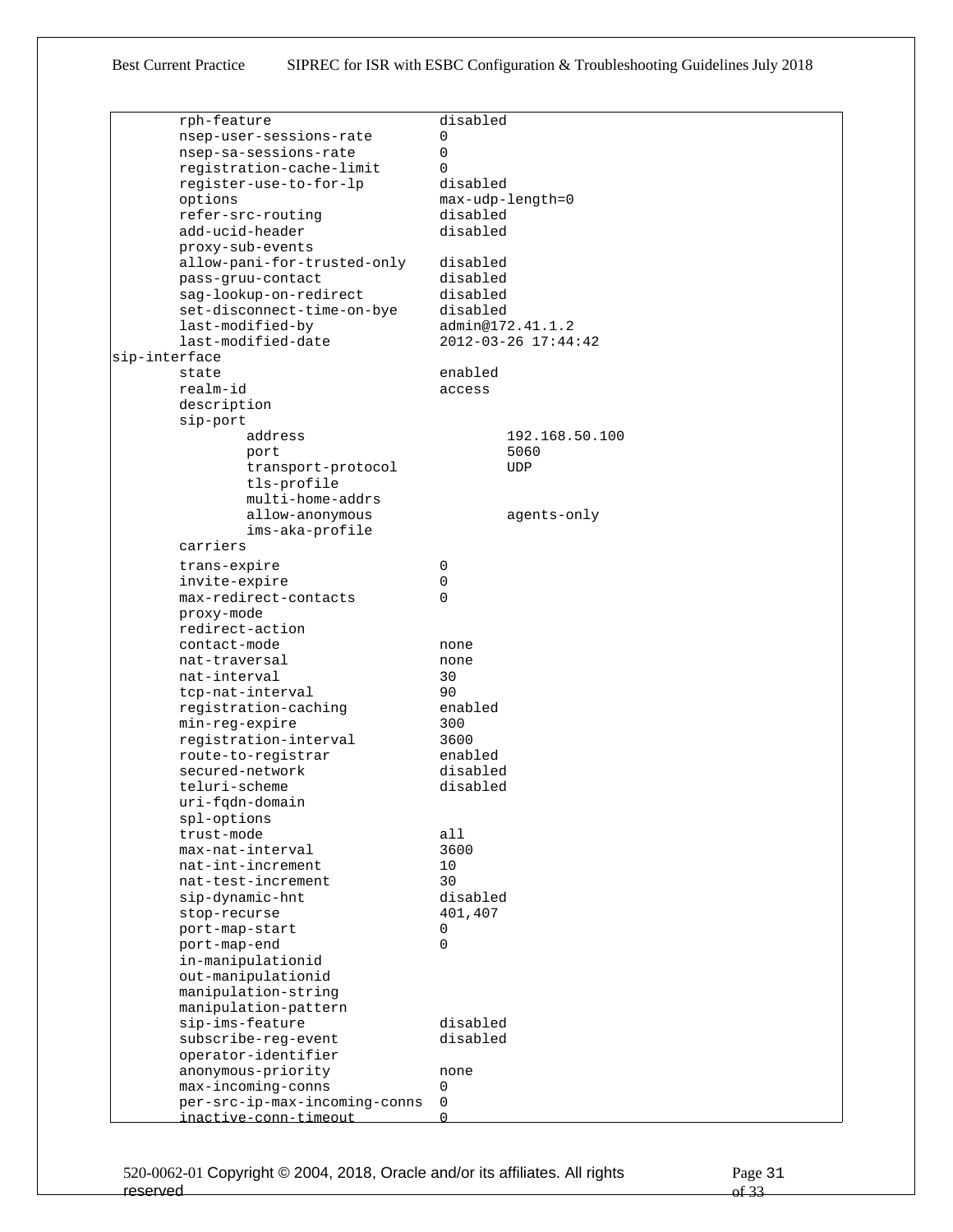| rph-feature                   | disabled            |
|-------------------------------|---------------------|
| nsep-user-sessions-rate       | 0                   |
| nsep-sa-sessions-rate         | 0                   |
|                               |                     |
| registration-cache-limit      | $\Omega$            |
| register-use-to-for-lp        | disabled            |
| options                       | max-udp-length=0    |
| refer-src-routing             | disabled            |
| add-ucid-header               | disabled            |
|                               |                     |
| proxy-sub-events              |                     |
| allow-pani-for-trusted-only   | disabled            |
| pass-gruu-contact             | disabled            |
| sag-lookup-on-redirect        | disabled            |
| set-disconnect-time-on-bye    | disabled            |
| last-modified-by              | admin@172.41.1.2    |
|                               |                     |
| last-modified-date            | 2012-03-26 17:44:42 |
| sip-interface                 |                     |
| state                         | enabled             |
| realm-id                      | access              |
| description                   |                     |
| sip-port                      |                     |
|                               |                     |
| address                       | 192.168.50.100      |
| port                          | 5060                |
| transport-protocol            | <b>UDP</b>          |
| tls-profile                   |                     |
| multi-home-addrs              |                     |
|                               |                     |
| allow-anonymous               | agents-only         |
| ims-aka-profile               |                     |
| carriers                      |                     |
| trans-expire                  | 0                   |
| invite-expire                 | 0                   |
|                               |                     |
| max-redirect-contacts         | $\Omega$            |
| proxy-mode                    |                     |
| redirect-action               |                     |
| contact-mode                  | none                |
| nat-traversal                 | none                |
|                               |                     |
| nat-interval                  | 30                  |
| tcp-nat-interval              | 90                  |
| registration-caching          | enabled             |
| min-reg-expire                | 300                 |
| registration-interval         | 3600                |
|                               | enabled             |
| route-to-registrar            |                     |
| secured-network               | disabled            |
| teluri-scheme                 | disabled            |
| uri-fqdn-domain               |                     |
| spl-options                   |                     |
| trust-mode                    | all                 |
| max-nat-interval              | 3600                |
|                               |                     |
| nat-int-increment             | 10                  |
| nat-test-increment            | 30                  |
| sip-dynamic-hnt               | disabled            |
| stop-recurse                  | 401,407             |
| port-map-start                | 0                   |
| port-map-end                  | 0                   |
|                               |                     |
| in-manipulationid             |                     |
| out-manipulationid            |                     |
| manipulation-string           |                     |
| manipulation-pattern          |                     |
| sip-ims-feature               | disabled            |
| subscribe-reg-event           | disabled            |
|                               |                     |
| operator-identifier           |                     |
| anonymous-priority            | none                |
| max-incoming-conns            | 0                   |
| per-src-ip-max-incoming-conns | 0                   |
| inactive-conn-timeout         | $\Omega$            |
|                               |                     |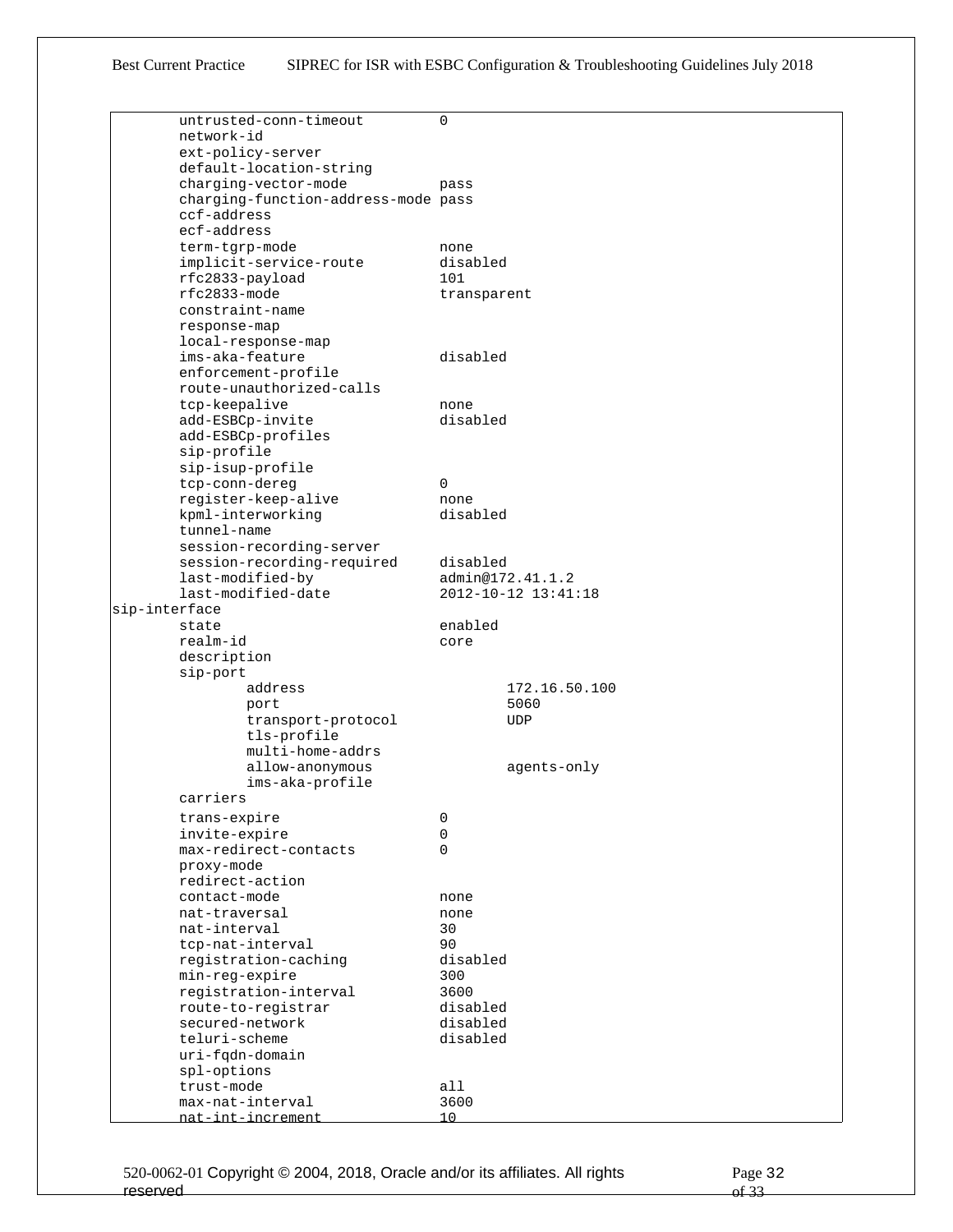|               | untrusted-conn-timeout              | 0                   |
|---------------|-------------------------------------|---------------------|
|               | network-id                          |                     |
|               | ext-policy-server                   |                     |
|               | default-location-string             |                     |
|               | charging-vector-mode                | pass                |
|               | charging-function-address-mode pass |                     |
|               | ccf-address                         |                     |
|               | ecf-address                         |                     |
|               | term-tgrp-mode                      | none                |
|               | implicit-service-route              | disabled            |
|               | rfc2833-payload                     | 101                 |
|               | $rfc2833-mode$                      | transparent         |
|               | constraint-name                     |                     |
|               | response-map                        |                     |
|               | local-response-map                  |                     |
|               | ims-aka-feature                     | disabled            |
|               | enforcement-profile                 |                     |
|               | route-unauthorized-calls            |                     |
|               | tcp-keepalive                       | none                |
|               | add-ESBCp-invite                    | disabled            |
|               | add-ESBCp-profiles                  |                     |
|               | sip-profile                         |                     |
|               | sip-isup-profile                    |                     |
|               | tcp-conn-dereg                      | $\Omega$            |
|               | register-keep-alive                 | none                |
|               | kpml-interworking                   | disabled            |
|               | tunnel-name                         |                     |
|               | session-recording-server            |                     |
|               | session-recording-required          | disabled            |
|               | last-modified-by                    | admin@172.41.1.2    |
|               | last-modified-date                  | 2012-10-12 13:41:18 |
| sip-interface |                                     |                     |
|               | state                               | enabled             |
|               | realm-id                            | core                |
|               | description                         |                     |
|               | sip-port                            |                     |
|               | address                             | 172.16.50.100       |
|               | port                                | 5060                |
|               | transport-protocol                  | UDP                 |
|               | tls-profile                         |                     |
|               | multi-home-addrs                    |                     |
|               | allow-anonymous                     | agents-only         |
|               | ims-aka-profile                     |                     |
|               | carriers                            |                     |
|               | trans-expire                        | 0                   |
|               | invite-expire                       | 0                   |
|               | max-redirect-contacts               | 0                   |
|               | proxy-mode                          |                     |
|               | redirect-action                     |                     |
|               | contact-mode                        | none                |
|               | nat-traversal                       | none                |
|               | nat-interval                        | 30                  |
|               | tcp-nat-interval                    | 90                  |
|               | registration-caching                | disabled            |
|               | min-reg-expire                      | 300                 |
|               | registration-interval               | 3600                |
|               | route-to-registrar                  | disabled            |
|               | secured-network                     | disabled            |
|               | teluri-scheme                       | disabled            |
|               | uri-fqdn-domain                     |                     |
|               | spl-options                         |                     |
|               | trust-mode                          | all                 |
|               | max-nat-interval                    | 3600                |
|               | nat-int-increment                   | 10                  |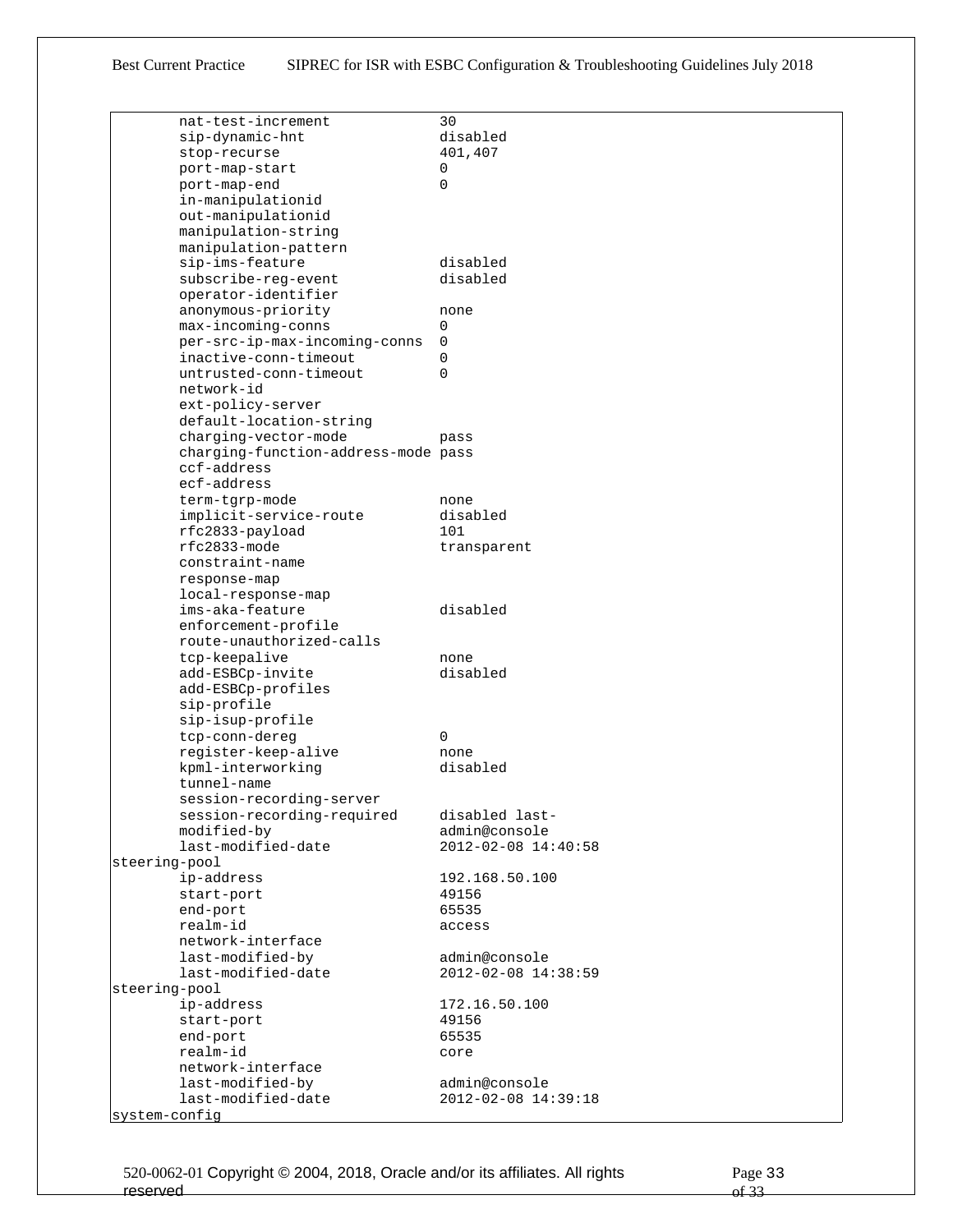| nat-test-increment                  | 30                  |
|-------------------------------------|---------------------|
| sip-dynamic-hnt                     | disabled            |
| stop-recurse                        | 401,407             |
| port-map-start                      | 0                   |
| port-map-end                        | 0                   |
| in-manipulationid                   |                     |
| out-manipulationid                  |                     |
| manipulation-string                 |                     |
| manipulation-pattern                |                     |
| sip-ims-feature                     | disabled            |
| subscribe-req-event                 | disabled            |
| operator-identifier                 |                     |
| anonymous-priority                  | none                |
| max-incoming-conns                  | 0                   |
| per-src-ip-max-incoming-conns       | 0                   |
| inactive-conn-timeout               | 0                   |
| untrusted-conn-timeout              | $\Omega$            |
| network-id                          |                     |
| ext-policy-server                   |                     |
| default-location-string             |                     |
| charging-vector-mode                | pass                |
| charging-function-address-mode pass |                     |
| ccf-address                         |                     |
| ecf-address                         |                     |
| term-tgrp-mode                      | none                |
| implicit-service-route              | disabled            |
| rfc2833-payload                     | 101                 |
| rfc2833-mode                        | transparent         |
| constraint-name                     |                     |
| response-map                        |                     |
| local-response-map                  |                     |
| ims-aka-feature                     | disabled            |
| enforcement-profile                 |                     |
| route-unauthorized-calls            |                     |
| tcp-keepalive                       | none                |
| add-ESBCp-invite                    | disabled            |
| add-ESBCp-profiles                  |                     |
| sip-profile                         |                     |
| sip-isup-profile                    |                     |
| tcp-conn-dereg                      | 0                   |
| register-keep-alive                 | none                |
| kpml-interworking                   | disabled            |
| tunnel-name                         |                     |
| session-recording-server            |                     |
| session-recording-required          | disabled last-      |
| modified-by                         | admin@console       |
| last-modified-date                  | 2012-02-08 14:40:58 |
| steering-pool                       |                     |
| ip-address                          | 192.168.50.100      |
| start-port                          | 49156               |
| end-port                            | 65535               |
| realm-id                            | access              |
| network-interface                   |                     |
| last-modified-by                    | admin@console       |
| last-modified-date                  | 2012-02-08 14:38:59 |
| steering-pool                       |                     |
| ip-address                          | 172.16.50.100       |
| start-port                          | 49156               |
| end-port<br>realm-id                | 65535               |
| network-interface                   | core                |
| last-modified-by                    | admin@console       |
| last-modified-date                  | 2012-02-08 14:39:18 |
| system-config                       |                     |
|                                     |                     |

520-0062-01 Copyright © 2004, 2018, Oracle and/or its affiliates. All rights reserved